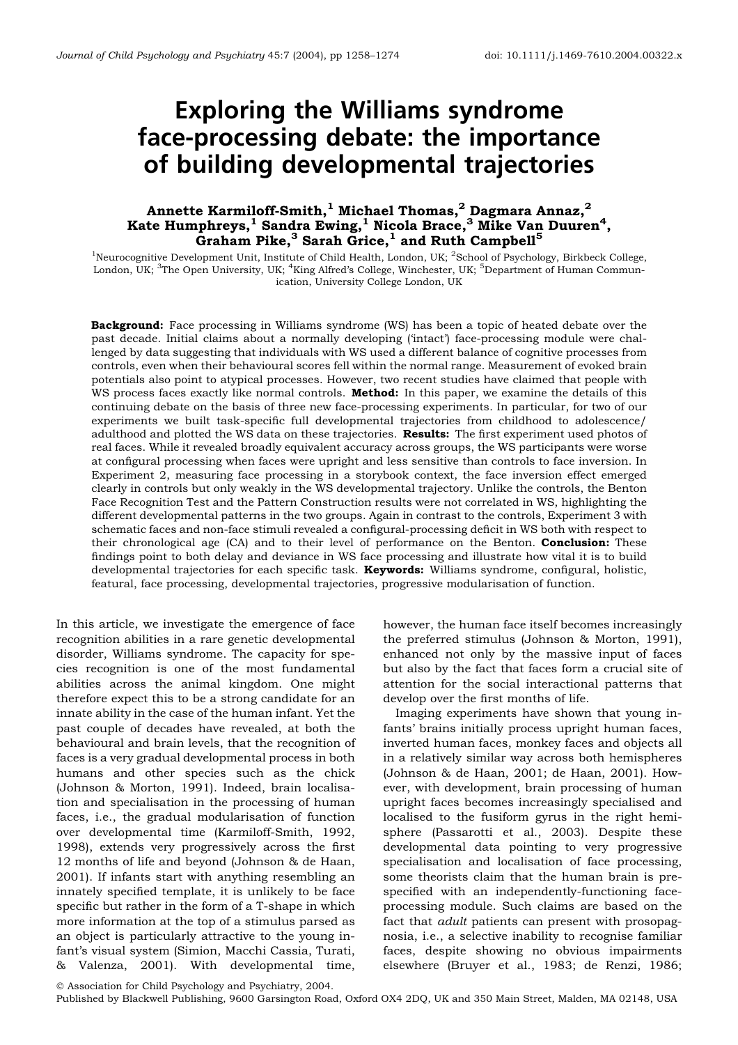# Exploring the Williams syndrome face-processing debate: the importance of building developmental trajectories

## Annette Karmiloff-Smith,<sup>1</sup> Michael Thomas,<sup>2</sup> Dagmara Annaz,<sup>2</sup> Kate Humphreys, $^1$  Sandra Ewing, $^1$  Nicola Brace, $^3$  Mike Van Duuren $^4,$ Graham Pike,<sup>3</sup> Sarah Grice,<sup>1</sup> and Ruth Campbell<sup>5</sup>

<sup>1</sup>Neurocognitive Development Unit, Institute of Child Health, London, UK; <sup>2</sup>School of Psychology, Birkbeck College, London, UK; <sup>3</sup>The Open University, UK; <sup>4</sup>King Alfred's College, Winchester, UK; <sup>5</sup>Department of Human Communication, University College London, UK

Background: Face processing in Williams syndrome (WS) has been a topic of heated debate over the past decade. Initial claims about a normally developing ('intact') face-processing module were challenged by data suggesting that individuals with WS used a different balance of cognitive processes from controls, even when their behavioural scores fell within the normal range. Measurement of evoked brain potentials also point to atypical processes. However, two recent studies have claimed that people with WS process faces exactly like normal controls. **Method:** In this paper, we examine the details of this continuing debate on the basis of three new face-processing experiments. In particular, for two of our experiments we built task-specific full developmental trajectories from childhood to adolescence/ adulthood and plotted the WS data on these trajectories. Results: The first experiment used photos of real faces. While it revealed broadly equivalent accuracy across groups, the WS participants were worse at configural processing when faces were upright and less sensitive than controls to face inversion. In Experiment 2, measuring face processing in a storybook context, the face inversion effect emerged clearly in controls but only weakly in the WS developmental trajectory. Unlike the controls, the Benton Face Recognition Test and the Pattern Construction results were not correlated in WS, highlighting the different developmental patterns in the two groups. Again in contrast to the controls, Experiment 3 with schematic faces and non-face stimuli revealed a configural-processing deficit in WS both with respect to their chronological age (CA) and to their level of performance on the Benton. **Conclusion:** These findings point to both delay and deviance in WS face processing and illustrate how vital it is to build developmental trajectories for each specific task. **Keywords:** Williams syndrome, configural, holistic, featural, face processing, developmental trajectories, progressive modularisation of function.

In this article, we investigate the emergence of face recognition abilities in a rare genetic developmental disorder, Williams syndrome. The capacity for species recognition is one of the most fundamental abilities across the animal kingdom. One might therefore expect this to be a strong candidate for an innate ability in the case of the human infant. Yet the past couple of decades have revealed, at both the behavioural and brain levels, that the recognition of faces is a very gradual developmental process in both humans and other species such as the chick (Johnson & Morton, 1991). Indeed, brain localisation and specialisation in the processing of human faces, i.e., the gradual modularisation of function over developmental time (Karmiloff-Smith, 1992, 1998), extends very progressively across the first 12 months of life and beyond (Johnson & de Haan, 2001). If infants start with anything resembling an innately specified template, it is unlikely to be face specific but rather in the form of a T-shape in which more information at the top of a stimulus parsed as an object is particularly attractive to the young infant's visual system (Simion, Macchi Cassia, Turati, & Valenza, 2001). With developmental time,

however, the human face itself becomes increasingly the preferred stimulus (Johnson & Morton, 1991), enhanced not only by the massive input of faces but also by the fact that faces form a crucial site of attention for the social interactional patterns that develop over the first months of life.

Imaging experiments have shown that young infants' brains initially process upright human faces, inverted human faces, monkey faces and objects all in a relatively similar way across both hemispheres (Johnson & de Haan, 2001; de Haan, 2001). However, with development, brain processing of human upright faces becomes increasingly specialised and localised to the fusiform gyrus in the right hemisphere (Passarotti et al., 2003). Despite these developmental data pointing to very progressive specialisation and localisation of face processing, some theorists claim that the human brain is prespecified with an independently-functioning faceprocessing module. Such claims are based on the fact that adult patients can present with prosopagnosia, i.e., a selective inability to recognise familiar faces, despite showing no obvious impairments elsewhere (Bruyer et al., 1983; de Renzi, 1986;

 Association for Child Psychology and Psychiatry, 2004. Published by Blackwell Publishing, 9600 Garsington Road, Oxford OX4 2DQ, UK and 350 Main Street, Malden, MA 02148, USA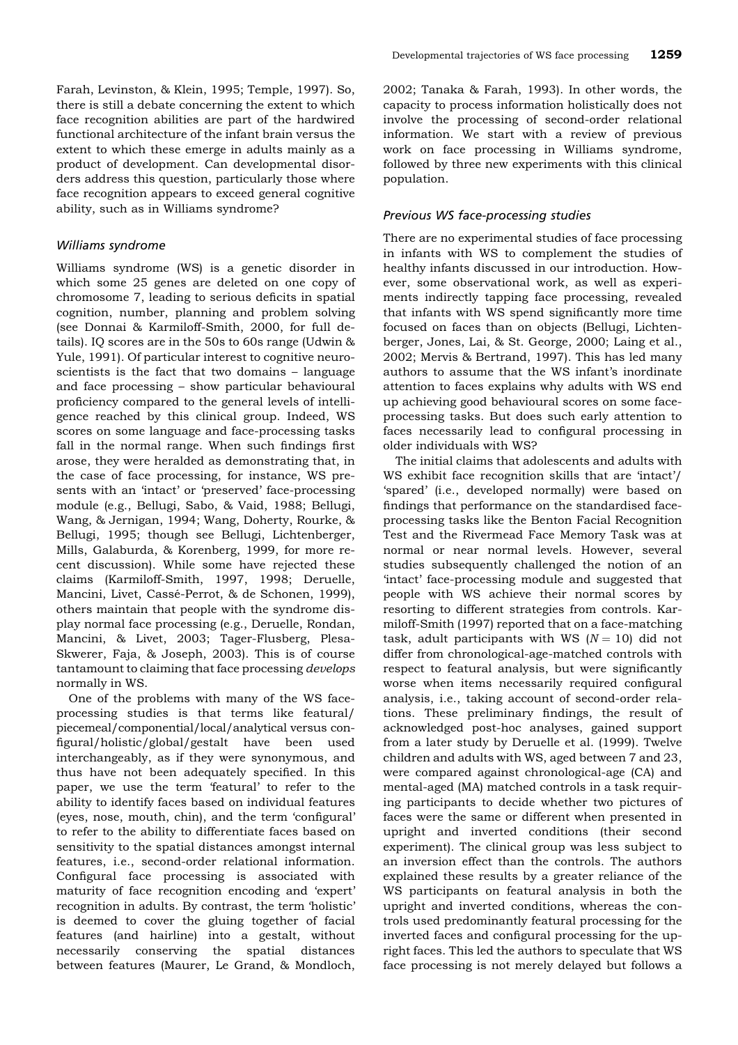Farah, Levinston, & Klein, 1995; Temple, 1997). So, there is still a debate concerning the extent to which face recognition abilities are part of the hardwired functional architecture of the infant brain versus the extent to which these emerge in adults mainly as a product of development. Can developmental disorders address this question, particularly those where face recognition appears to exceed general cognitive ability, such as in Williams syndrome?

#### Williams syndrome

Williams syndrome (WS) is a genetic disorder in which some 25 genes are deleted on one copy of chromosome 7, leading to serious deficits in spatial cognition, number, planning and problem solving (see Donnai & Karmiloff-Smith, 2000, for full details). IQ scores are in the 50s to 60s range (Udwin & Yule, 1991). Of particular interest to cognitive neuroscientists is the fact that two domains – language and face processing – show particular behavioural proficiency compared to the general levels of intelligence reached by this clinical group. Indeed, WS scores on some language and face-processing tasks fall in the normal range. When such findings first arose, they were heralded as demonstrating that, in the case of face processing, for instance, WS presents with an 'intact' or 'preserved' face-processing module (e.g., Bellugi, Sabo, & Vaid, 1988; Bellugi, Wang, & Jernigan, 1994; Wang, Doherty, Rourke, & Bellugi, 1995; though see Bellugi, Lichtenberger, Mills, Galaburda, & Korenberg, 1999, for more recent discussion). While some have rejected these claims (Karmiloff-Smith, 1997, 1998; Deruelle, Mancini, Livet, Cassé-Perrot, & de Schonen, 1999), others maintain that people with the syndrome display normal face processing (e.g., Deruelle, Rondan, Mancini, & Livet, 2003; Tager-Flusberg, Plesa-Skwerer, Faja, & Joseph, 2003). This is of course tantamount to claiming that face processing develops normally in WS.

One of the problems with many of the WS faceprocessing studies is that terms like featural/ piecemeal/componential/local/analytical versus configural/holistic/global/gestalt have been used interchangeably, as if they were synonymous, and thus have not been adequately specified. In this paper, we use the term 'featural' to refer to the ability to identify faces based on individual features (eyes, nose, mouth, chin), and the term 'configural' to refer to the ability to differentiate faces based on sensitivity to the spatial distances amongst internal features, i.e., second-order relational information. Configural face processing is associated with maturity of face recognition encoding and 'expert' recognition in adults. By contrast, the term 'holistic' is deemed to cover the gluing together of facial features (and hairline) into a gestalt, without necessarily conserving the spatial distances between features (Maurer, Le Grand, & Mondloch,

2002; Tanaka & Farah, 1993). In other words, the capacity to process information holistically does not involve the processing of second-order relational information. We start with a review of previous work on face processing in Williams syndrome, followed by three new experiments with this clinical population.

#### Previous WS face-processing studies

There are no experimental studies of face processing in infants with WS to complement the studies of healthy infants discussed in our introduction. However, some observational work, as well as experiments indirectly tapping face processing, revealed that infants with WS spend significantly more time focused on faces than on objects (Bellugi, Lichtenberger, Jones, Lai, & St. George, 2000; Laing et al., 2002; Mervis & Bertrand, 1997). This has led many authors to assume that the WS infant's inordinate attention to faces explains why adults with WS end up achieving good behavioural scores on some faceprocessing tasks. But does such early attention to faces necessarily lead to configural processing in older individuals with WS?

The initial claims that adolescents and adults with WS exhibit face recognition skills that are 'intact'/ 'spared' (i.e., developed normally) were based on findings that performance on the standardised faceprocessing tasks like the Benton Facial Recognition Test and the Rivermead Face Memory Task was at normal or near normal levels. However, several studies subsequently challenged the notion of an 'intact' face-processing module and suggested that people with WS achieve their normal scores by resorting to different strategies from controls. Karmiloff-Smith (1997) reported that on a face-matching task, adult participants with WS  $(N = 10)$  did not differ from chronological-age-matched controls with respect to featural analysis, but were significantly worse when items necessarily required configural analysis, i.e., taking account of second-order relations. These preliminary findings, the result of acknowledged post-hoc analyses, gained support from a later study by Deruelle et al. (1999). Twelve children and adults with WS, aged between 7 and 23, were compared against chronological-age (CA) and mental-aged (MA) matched controls in a task requiring participants to decide whether two pictures of faces were the same or different when presented in upright and inverted conditions (their second experiment). The clinical group was less subject to an inversion effect than the controls. The authors explained these results by a greater reliance of the WS participants on featural analysis in both the upright and inverted conditions, whereas the controls used predominantly featural processing for the inverted faces and configural processing for the upright faces. This led the authors to speculate that WS face processing is not merely delayed but follows a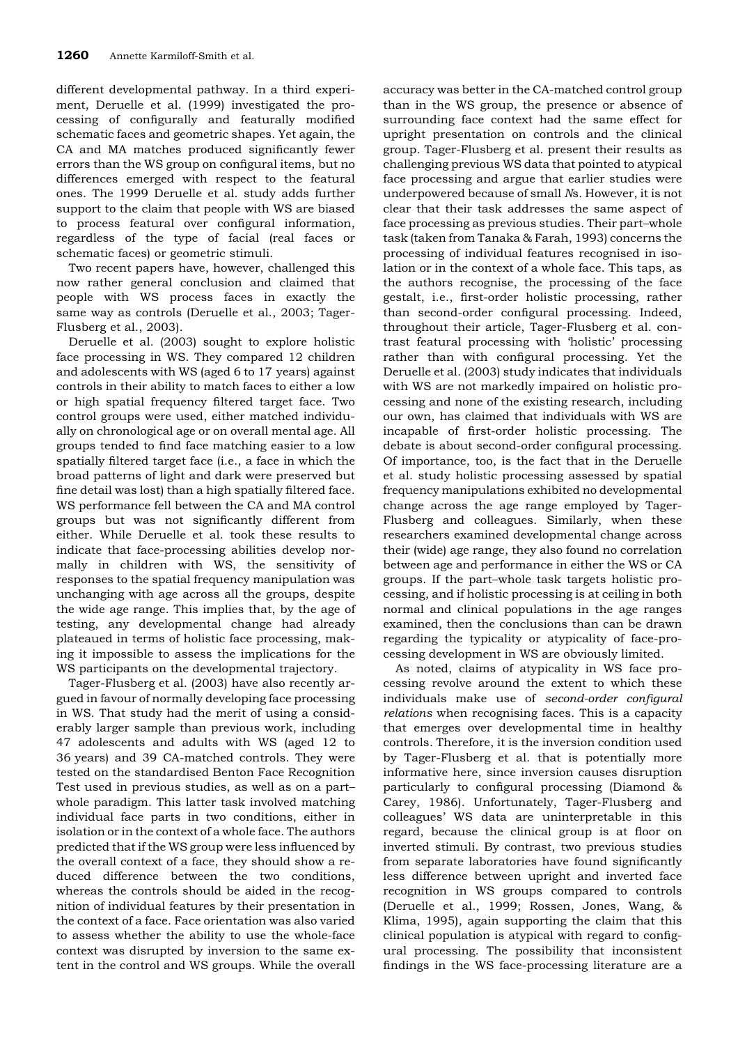different developmental pathway. In a third experiment, Deruelle et al. (1999) investigated the processing of configurally and featurally modified schematic faces and geometric shapes. Yet again, the CA and MA matches produced significantly fewer errors than the WS group on configural items, but no differences emerged with respect to the featural ones. The 1999 Deruelle et al. study adds further support to the claim that people with WS are biased to process featural over configural information, regardless of the type of facial (real faces or schematic faces) or geometric stimuli.

Two recent papers have, however, challenged this now rather general conclusion and claimed that people with WS process faces in exactly the same way as controls (Deruelle et al., 2003; Tager-Flusberg et al., 2003).

Deruelle et al. (2003) sought to explore holistic face processing in WS. They compared 12 children and adolescents with WS (aged 6 to 17 years) against controls in their ability to match faces to either a low or high spatial frequency filtered target face. Two control groups were used, either matched individually on chronological age or on overall mental age. All groups tended to find face matching easier to a low spatially filtered target face (i.e., a face in which the broad patterns of light and dark were preserved but fine detail was lost) than a high spatially filtered face. WS performance fell between the CA and MA control groups but was not significantly different from either. While Deruelle et al. took these results to indicate that face-processing abilities develop normally in children with WS, the sensitivity of responses to the spatial frequency manipulation was unchanging with age across all the groups, despite the wide age range. This implies that, by the age of testing, any developmental change had already plateaued in terms of holistic face processing, making it impossible to assess the implications for the WS participants on the developmental trajectory.

Tager-Flusberg et al. (2003) have also recently argued in favour of normally developing face processing in WS. That study had the merit of using a considerably larger sample than previous work, including 47 adolescents and adults with WS (aged 12 to 36 years) and 39 CA-matched controls. They were tested on the standardised Benton Face Recognition Test used in previous studies, as well as on a part– whole paradigm. This latter task involved matching individual face parts in two conditions, either in isolation or in the context of a whole face. The authors predicted that if the WS group were less influenced by the overall context of a face, they should show a reduced difference between the two conditions, whereas the controls should be aided in the recognition of individual features by their presentation in the context of a face. Face orientation was also varied to assess whether the ability to use the whole-face context was disrupted by inversion to the same extent in the control and WS groups. While the overall

accuracy was better in the CA-matched control group than in the WS group, the presence or absence of surrounding face context had the same effect for upright presentation on controls and the clinical group. Tager-Flusberg et al. present their results as challenging previous WS data that pointed to atypical face processing and argue that earlier studies were underpowered because of small Ns. However, it is not clear that their task addresses the same aspect of face processing as previous studies. Their part–whole task (taken from Tanaka & Farah, 1993) concerns the processing of individual features recognised in isolation or in the context of a whole face. This taps, as the authors recognise, the processing of the face gestalt, i.e., first-order holistic processing, rather than second-order configural processing. Indeed, throughout their article, Tager-Flusberg et al. contrast featural processing with 'holistic' processing rather than with configural processing. Yet the Deruelle et al. (2003) study indicates that individuals with WS are not markedly impaired on holistic processing and none of the existing research, including our own, has claimed that individuals with WS are incapable of first-order holistic processing. The debate is about second-order configural processing. Of importance, too, is the fact that in the Deruelle et al. study holistic processing assessed by spatial frequency manipulations exhibited no developmental change across the age range employed by Tager-Flusberg and colleagues. Similarly, when these researchers examined developmental change across their (wide) age range, they also found no correlation between age and performance in either the WS or CA groups. If the part–whole task targets holistic processing, and if holistic processing is at ceiling in both normal and clinical populations in the age ranges examined, then the conclusions than can be drawn regarding the typicality or atypicality of face-processing development in WS are obviously limited.

As noted, claims of atypicality in WS face processing revolve around the extent to which these individuals make use of second-order configural relations when recognising faces. This is a capacity that emerges over developmental time in healthy controls. Therefore, it is the inversion condition used by Tager-Flusberg et al. that is potentially more informative here, since inversion causes disruption particularly to configural processing (Diamond & Carey, 1986). Unfortunately, Tager-Flusberg and colleagues' WS data are uninterpretable in this regard, because the clinical group is at floor on inverted stimuli. By contrast, two previous studies from separate laboratories have found significantly less difference between upright and inverted face recognition in WS groups compared to controls (Deruelle et al., 1999; Rossen, Jones, Wang, & Klima, 1995), again supporting the claim that this clinical population is atypical with regard to configural processing. The possibility that inconsistent findings in the WS face-processing literature are a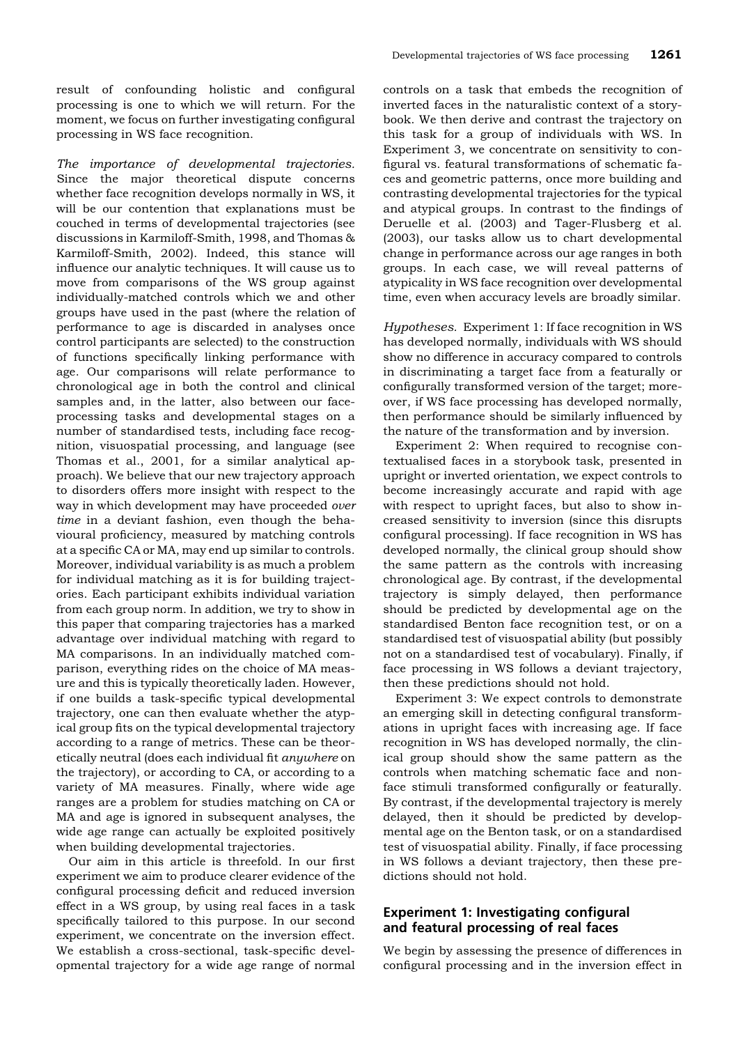result of confounding holistic and configural processing is one to which we will return. For the moment, we focus on further investigating configural processing in WS face recognition.

The importance of developmental trajectories. Since the major theoretical dispute concerns whether face recognition develops normally in WS, it will be our contention that explanations must be couched in terms of developmental trajectories (see discussions in Karmiloff-Smith, 1998, and Thomas & Karmiloff-Smith, 2002). Indeed, this stance will influence our analytic techniques. It will cause us to move from comparisons of the WS group against individually-matched controls which we and other groups have used in the past (where the relation of performance to age is discarded in analyses once control participants are selected) to the construction of functions specifically linking performance with age. Our comparisons will relate performance to chronological age in both the control and clinical samples and, in the latter, also between our faceprocessing tasks and developmental stages on a number of standardised tests, including face recognition, visuospatial processing, and language (see Thomas et al., 2001, for a similar analytical approach). We believe that our new trajectory approach to disorders offers more insight with respect to the way in which development may have proceeded over time in a deviant fashion, even though the behavioural proficiency, measured by matching controls at a specific CA or MA, may end up similar to controls. Moreover, individual variability is as much a problem for individual matching as it is for building trajectories. Each participant exhibits individual variation from each group norm. In addition, we try to show in this paper that comparing trajectories has a marked advantage over individual matching with regard to MA comparisons. In an individually matched comparison, everything rides on the choice of MA measure and this is typically theoretically laden. However, if one builds a task-specific typical developmental trajectory, one can then evaluate whether the atypical group fits on the typical developmental trajectory according to a range of metrics. These can be theoretically neutral (does each individual fit anywhere on the trajectory), or according to CA, or according to a variety of MA measures. Finally, where wide age ranges are a problem for studies matching on CA or MA and age is ignored in subsequent analyses, the wide age range can actually be exploited positively when building developmental trajectories.

Our aim in this article is threefold. In our first experiment we aim to produce clearer evidence of the configural processing deficit and reduced inversion effect in a WS group, by using real faces in a task specifically tailored to this purpose. In our second experiment, we concentrate on the inversion effect. We establish a cross-sectional, task-specific developmental trajectory for a wide age range of normal controls on a task that embeds the recognition of inverted faces in the naturalistic context of a storybook. We then derive and contrast the trajectory on this task for a group of individuals with WS. In Experiment 3, we concentrate on sensitivity to configural vs. featural transformations of schematic faces and geometric patterns, once more building and contrasting developmental trajectories for the typical and atypical groups. In contrast to the findings of Deruelle et al. (2003) and Tager-Flusberg et al. (2003), our tasks allow us to chart developmental change in performance across our age ranges in both groups. In each case, we will reveal patterns of atypicality in WS face recognition over developmental time, even when accuracy levels are broadly similar.

Hypotheses. Experiment 1: If face recognition in WS has developed normally, individuals with WS should show no difference in accuracy compared to controls in discriminating a target face from a featurally or configurally transformed version of the target; moreover, if WS face processing has developed normally, then performance should be similarly influenced by the nature of the transformation and by inversion.

Experiment 2: When required to recognise contextualised faces in a storybook task, presented in upright or inverted orientation, we expect controls to become increasingly accurate and rapid with age with respect to upright faces, but also to show increased sensitivity to inversion (since this disrupts configural processing). If face recognition in WS has developed normally, the clinical group should show the same pattern as the controls with increasing chronological age. By contrast, if the developmental trajectory is simply delayed, then performance should be predicted by developmental age on the standardised Benton face recognition test, or on a standardised test of visuospatial ability (but possibly not on a standardised test of vocabulary). Finally, if face processing in WS follows a deviant trajectory, then these predictions should not hold.

Experiment 3: We expect controls to demonstrate an emerging skill in detecting configural transformations in upright faces with increasing age. If face recognition in WS has developed normally, the clinical group should show the same pattern as the controls when matching schematic face and nonface stimuli transformed configurally or featurally. By contrast, if the developmental trajectory is merely delayed, then it should be predicted by developmental age on the Benton task, or on a standardised test of visuospatial ability. Finally, if face processing in WS follows a deviant trajectory, then these predictions should not hold.

## Experiment 1: Investigating configural and featural processing of real faces

We begin by assessing the presence of differences in configural processing and in the inversion effect in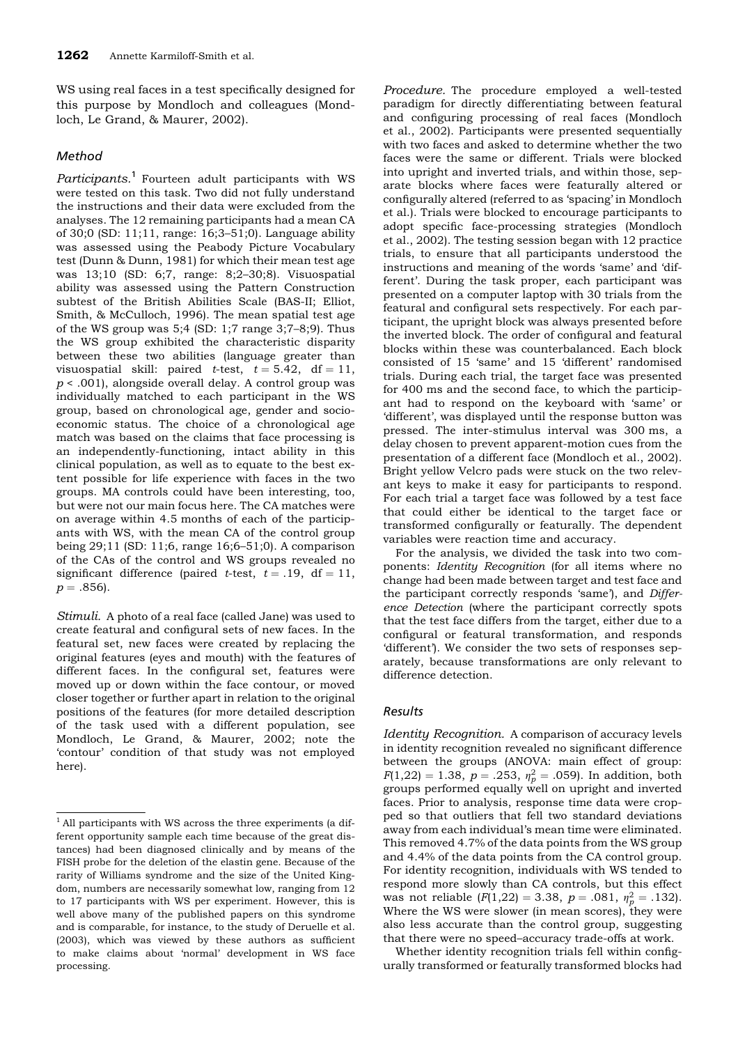WS using real faces in a test specifically designed for this purpose by Mondloch and colleagues (Mondloch, Le Grand, & Maurer, 2002).

## Method

Participants.*<sup>1</sup>* Fourteen adult participants with WS were tested on this task. Two did not fully understand the instructions and their data were excluded from the analyses. The 12 remaining participants had a mean CA of 30;0 (SD: 11;11, range: 16;3–51;0). Language ability was assessed using the Peabody Picture Vocabulary test (Dunn & Dunn, 1981) for which their mean test age was 13;10 (SD: 6;7, range: 8;2–30;8). Visuospatial ability was assessed using the Pattern Construction subtest of the British Abilities Scale (BAS-II; Elliot, Smith, & McCulloch, 1996). The mean spatial test age of the WS group was 5;4 (SD: 1;7 range 3;7–8;9). Thus the WS group exhibited the characteristic disparity between these two abilities (language greater than visuospatial skill: paired *t*-test,  $t = 5.42$ , df = 11,  $p < .001$ ), alongside overall delay. A control group was individually matched to each participant in the WS group, based on chronological age, gender and socioeconomic status. The choice of a chronological age match was based on the claims that face processing is an independently-functioning, intact ability in this clinical population, as well as to equate to the best extent possible for life experience with faces in the two groups. MA controls could have been interesting, too, but were not our main focus here. The CA matches were on average within 4.5 months of each of the participants with WS, with the mean CA of the control group being 29;11 (SD: 11;6, range 16;6–51;0). A comparison of the CAs of the control and WS groups revealed no significant difference (paired *t*-test,  $t = .19$ , df = 11,  $p = .856$ .

Stimuli. A photo of a real face (called Jane) was used to create featural and configural sets of new faces. In the featural set, new faces were created by replacing the original features (eyes and mouth) with the features of different faces. In the configural set, features were moved up or down within the face contour, or moved closer together or further apart in relation to the original positions of the features (for more detailed description of the task used with a different population, see Mondloch, Le Grand, & Maurer, 2002; note the 'contour' condition of that study was not employed here).

Procedure. The procedure employed a well-tested paradigm for directly differentiating between featural and configuring processing of real faces (Mondloch et al., 2002). Participants were presented sequentially with two faces and asked to determine whether the two faces were the same or different. Trials were blocked into upright and inverted trials, and within those, separate blocks where faces were featurally altered or configurally altered (referred to as 'spacing' in Mondloch et al.). Trials were blocked to encourage participants to adopt specific face-processing strategies (Mondloch et al., 2002). The testing session began with 12 practice trials, to ensure that all participants understood the instructions and meaning of the words 'same' and 'different'. During the task proper, each participant was presented on a computer laptop with 30 trials from the featural and configural sets respectively. For each participant, the upright block was always presented before the inverted block. The order of configural and featural blocks within these was counterbalanced. Each block consisted of 15 'same' and 15 'different' randomised trials. During each trial, the target face was presented for 400 ms and the second face, to which the participant had to respond on the keyboard with 'same' or 'different', was displayed until the response button was pressed. The inter-stimulus interval was 300 ms, a delay chosen to prevent apparent-motion cues from the presentation of a different face (Mondloch et al., 2002). Bright yellow Velcro pads were stuck on the two relevant keys to make it easy for participants to respond. For each trial a target face was followed by a test face that could either be identical to the target face or transformed configurally or featurally. The dependent variables were reaction time and accuracy.

For the analysis, we divided the task into two components: Identity Recognition (for all items where no change had been made between target and test face and the participant correctly responds 'same'), and Difference Detection (where the participant correctly spots that the test face differs from the target, either due to a configural or featural transformation, and responds 'different'). We consider the two sets of responses separately, because transformations are only relevant to difference detection.

## Results

Identity Recognition. A comparison of accuracy levels in identity recognition revealed no significant difference between the groups (ANOVA: main effect of group:  $F(1,22)=1.38, \ p = .253, \ \eta_p^2 = .059$ ). In addition, both groups performed equally well on upright and inverted faces. Prior to analysis, response time data were cropped so that outliers that fell two standard deviations away from each individual's mean time were eliminated. This removed 4.7% of the data points from the WS group and 4.4% of the data points from the CA control group. For identity recognition, individuals with WS tended to respond more slowly than CA controls, but this effect was not reliable  $(F(1,22) = 3.38, p = .081, \eta_p^2 = .132)$ . Where the WS were slower (in mean scores), they were also less accurate than the control group, suggesting that there were no speed–accuracy trade-offs at work.

Whether identity recognition trials fell within configurally transformed or featurally transformed blocks had

 $^{\rm 1}$  All participants with WS across the three experiments (a different opportunity sample each time because of the great distances) had been diagnosed clinically and by means of the FISH probe for the deletion of the elastin gene. Because of the rarity of Williams syndrome and the size of the United Kingdom, numbers are necessarily somewhat low, ranging from 12 to 17 participants with WS per experiment. However, this is well above many of the published papers on this syndrome and is comparable, for instance, to the study of Deruelle et al. (2003), which was viewed by these authors as sufficient to make claims about 'normal' development in WS face processing.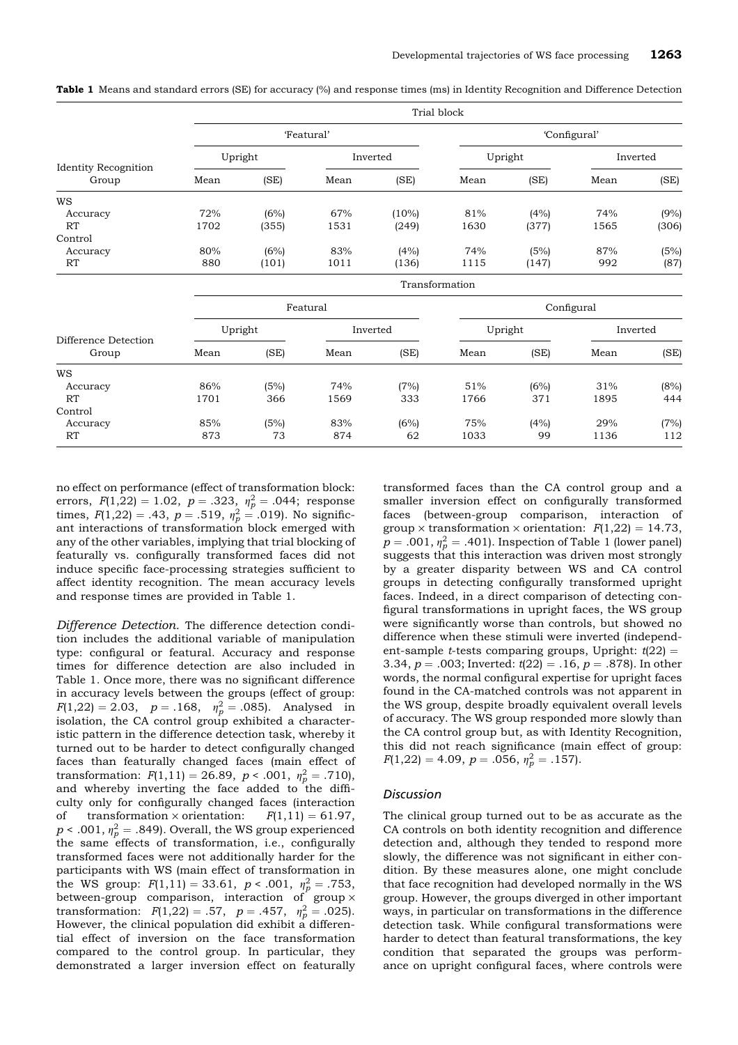| <b>Identity Recognition</b><br>Group | Trial block    |       |          |          |              |       |          |       |
|--------------------------------------|----------------|-------|----------|----------|--------------|-------|----------|-------|
|                                      | 'Featural'     |       |          |          | 'Configural' |       |          |       |
|                                      | Upright        |       | Inverted |          | Upright      |       | Inverted |       |
|                                      | Mean           | (SE)  | Mean     | (SE)     | Mean         | (SE)  | Mean     | (SE)  |
| WS                                   |                |       |          |          |              |       |          |       |
| Accuracy                             | 72%            | (6%)  | 67%      | $(10\%)$ | 81%          | (4%)  | 74%      | (9%)  |
| RT                                   | 1702           | (355) | 1531     | (249)    | 1630         | (377) | 1565     | (306) |
| Control                              |                |       |          |          |              |       |          |       |
| Accuracy                             | 80%            | (6%)  | 83%      | (4%)     | 74%          | (5%)  | 87%      | (5%)  |
| RT<br>Difference Detection           | 880            | (101) | 1011     | (136)    | 1115         | (147) | 992      | (87)  |
|                                      | Transformation |       |          |          |              |       |          |       |
|                                      | Featural       |       |          |          | Configural   |       |          |       |
|                                      | Upright        |       | Inverted |          | Upright      |       | Inverted |       |
| Group                                | Mean           | (SE)  | Mean     | (SE)     | Mean         | (SE)  | Mean     | (SE)  |
| WS                                   |                |       |          |          |              |       |          |       |
| Accuracy                             | 86%            | (5%)  | 74%      | (7%)     | 51%          | (6%)  | 31%      | (8%)  |
| RT                                   | 1701           | 366   | 1569     | 333      | 1766         | 371   | 1895     | 444   |
| Control                              |                |       |          |          |              |       |          |       |
| Accuracy                             | 85%            | (5%)  | 83%      | (6%)     | 75%          | (4%)  | 29%      | (7%)  |
| RT                                   | 873            | 73    | 874      | 62       | 1033         | 99    | 1136     | 112   |

Table 1 Means and standard errors (SE) for accuracy (%) and response times (ms) in Identity Recognition and Difference Detection

no effect on performance (effect of transformation block: errors,  $F(1,22) = 1.02$ ,  $p = .323$ ,  $\eta_p^2 = .044$ ; response times,  $F(1,22) = .43$ ,  $p = .519$ ,  $\eta_p^2 = .019$ ). No significant interactions of transformation block emerged with any of the other variables, implying that trial blocking of featurally vs. configurally transformed faces did not induce specific face-processing strategies sufficient to affect identity recognition. The mean accuracy levels and response times are provided in Table 1.

Difference Detection. The difference detection condition includes the additional variable of manipulation type: configural or featural. Accuracy and response times for difference detection are also included in Table 1. Once more, there was no significant difference in accuracy levels between the groups (effect of group:  $F(1,22) = 2.03$ ,  $p = .168$ ,  $\eta_p^2 = .085$ ). Analysed in isolation, the CA control group exhibited a characteristic pattern in the difference detection task, whereby it turned out to be harder to detect configurally changed faces than featurally changed faces (main effect of transformation:  $F(1,11) = 26.89, p < .001, \eta_p^2 = .710$ ), and whereby inverting the face added to the difficulty only for configurally changed faces (interaction of transformation  $\times$  orientation:  $F(1,11) = 61.97$ ,  $p$  < .001,  $\eta_p^2 =$  .849). Overall, the WS group experienced the same effects of transformation, i.e., configurally transformed faces were not additionally harder for the participants with WS (main effect of transformation in the WS group:  $F(1,11) = 33.61, p < .001, \eta_p^2 = .753,$ between-group comparison, interaction of group  $\times$ transformation:  $F(1,22) = .57$ ,  $p = .457$ ,  $\eta_p^2 = .025$ ). However, the clinical population did exhibit a differential effect of inversion on the face transformation compared to the control group. In particular, they demonstrated a larger inversion effect on featurally transformed faces than the CA control group and a smaller inversion effect on configurally transformed faces (between-group comparison, interaction of group  $\times$  transformation  $\times$  orientation:  $F(1,22) = 14.73$ ,  $p = .001$ ,  $\eta_p^2 = .401$ ). Inspection of Table 1 (lower panel) suggests that this interaction was driven most strongly by a greater disparity between WS and CA control groups in detecting configurally transformed upright faces. Indeed, in a direct comparison of detecting configural transformations in upright faces, the WS group were significantly worse than controls, but showed no difference when these stimuli were inverted (independent-sample *t*-tests comparing groups, Upright:  $t(22) =$ 3.34,  $p = .003$ ; Inverted:  $t(22) = .16$ ,  $p = .878$ ). In other words, the normal configural expertise for upright faces found in the CA-matched controls was not apparent in the WS group, despite broadly equivalent overall levels of accuracy. The WS group responded more slowly than the CA control group but, as with Identity Recognition, this did not reach significance (main effect of group:  $F(1,22) = 4.09, p = .056, \eta_p^2 = .157$ .

#### **Discussion**

The clinical group turned out to be as accurate as the CA controls on both identity recognition and difference detection and, although they tended to respond more slowly, the difference was not significant in either condition. By these measures alone, one might conclude that face recognition had developed normally in the WS group. However, the groups diverged in other important ways, in particular on transformations in the difference detection task. While configural transformations were harder to detect than featural transformations, the key condition that separated the groups was performance on upright configural faces, where controls were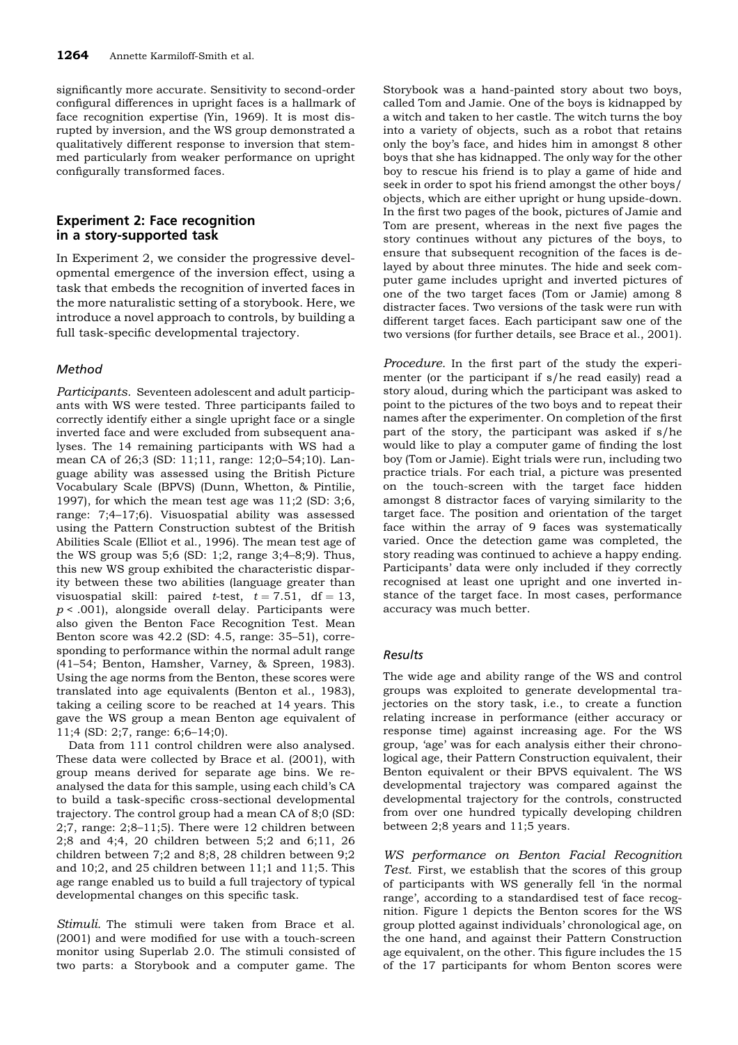significantly more accurate. Sensitivity to second-order configural differences in upright faces is a hallmark of face recognition expertise (Yin, 1969). It is most disrupted by inversion, and the WS group demonstrated a qualitatively different response to inversion that stemmed particularly from weaker performance on upright configurally transformed faces.

## Experiment 2: Face recognition in a story-supported task

In Experiment 2, we consider the progressive developmental emergence of the inversion effect, using a task that embeds the recognition of inverted faces in the more naturalistic setting of a storybook. Here, we introduce a novel approach to controls, by building a full task-specific developmental trajectory.

## Method

Participants. Seventeen adolescent and adult participants with WS were tested. Three participants failed to correctly identify either a single upright face or a single inverted face and were excluded from subsequent analyses. The 14 remaining participants with WS had a mean CA of 26;3 (SD: 11;11, range: 12;0–54;10). Language ability was assessed using the British Picture Vocabulary Scale (BPVS) (Dunn, Whetton, & Pintilie, 1997), for which the mean test age was 11;2 (SD: 3;6, range: 7;4–17;6). Visuospatial ability was assessed using the Pattern Construction subtest of the British Abilities Scale (Elliot et al., 1996). The mean test age of the WS group was 5;6 (SD: 1;2, range 3;4–8;9). Thus, this new WS group exhibited the characteristic disparity between these two abilities (language greater than visuospatial skill: paired *t*-test,  $t = 7.51$ , df = 13,  $p < .001$ ), alongside overall delay. Participants were also given the Benton Face Recognition Test. Mean Benton score was 42.2 (SD: 4.5, range: 35–51), corresponding to performance within the normal adult range (41–54; Benton, Hamsher, Varney, & Spreen, 1983). Using the age norms from the Benton, these scores were translated into age equivalents (Benton et al., 1983), taking a ceiling score to be reached at 14 years. This gave the WS group a mean Benton age equivalent of 11;4 (SD: 2;7, range: 6;6–14;0).

Data from 111 control children were also analysed. These data were collected by Brace et al. (2001), with group means derived for separate age bins. We reanalysed the data for this sample, using each child's CA to build a task-specific cross-sectional developmental trajectory. The control group had a mean CA of 8;0 (SD: 2;7, range: 2;8–11;5). There were 12 children between 2;8 and 4;4, 20 children between 5;2 and 6;11, 26 children between 7;2 and 8;8, 28 children between 9;2 and 10;2, and 25 children between 11;1 and 11;5. This age range enabled us to build a full trajectory of typical developmental changes on this specific task.

Stimuli. The stimuli were taken from Brace et al. (2001) and were modified for use with a touch-screen monitor using Superlab 2.0. The stimuli consisted of two parts: a Storybook and a computer game. The

Storybook was a hand-painted story about two boys, called Tom and Jamie. One of the boys is kidnapped by a witch and taken to her castle. The witch turns the boy into a variety of objects, such as a robot that retains only the boy's face, and hides him in amongst 8 other boys that she has kidnapped. The only way for the other boy to rescue his friend is to play a game of hide and seek in order to spot his friend amongst the other boys/ objects, which are either upright or hung upside-down. In the first two pages of the book, pictures of Jamie and Tom are present, whereas in the next five pages the story continues without any pictures of the boys, to ensure that subsequent recognition of the faces is delayed by about three minutes. The hide and seek computer game includes upright and inverted pictures of one of the two target faces (Tom or Jamie) among 8 distracter faces. Two versions of the task were run with different target faces. Each participant saw one of the two versions (for further details, see Brace et al., 2001).

Procedure. In the first part of the study the experimenter (or the participant if s/he read easily) read a story aloud, during which the participant was asked to point to the pictures of the two boys and to repeat their names after the experimenter. On completion of the first part of the story, the participant was asked if s/he would like to play a computer game of finding the lost boy (Tom or Jamie). Eight trials were run, including two practice trials. For each trial, a picture was presented on the touch-screen with the target face hidden amongst 8 distractor faces of varying similarity to the target face. The position and orientation of the target face within the array of 9 faces was systematically varied. Once the detection game was completed, the story reading was continued to achieve a happy ending. Participants' data were only included if they correctly recognised at least one upright and one inverted instance of the target face. In most cases, performance accuracy was much better.

## Results

The wide age and ability range of the WS and control groups was exploited to generate developmental trajectories on the story task, i.e., to create a function relating increase in performance (either accuracy or response time) against increasing age. For the WS group, 'age' was for each analysis either their chronological age, their Pattern Construction equivalent, their Benton equivalent or their BPVS equivalent. The WS developmental trajectory was compared against the developmental trajectory for the controls, constructed from over one hundred typically developing children between 2;8 years and 11;5 years.

WS performance on Benton Facial Recognition Test. First, we establish that the scores of this group of participants with WS generally fell 'in the normal range', according to a standardised test of face recognition. Figure 1 depicts the Benton scores for the WS group plotted against individuals' chronological age, on the one hand, and against their Pattern Construction age equivalent, on the other. This figure includes the 15 of the 17 participants for whom Benton scores were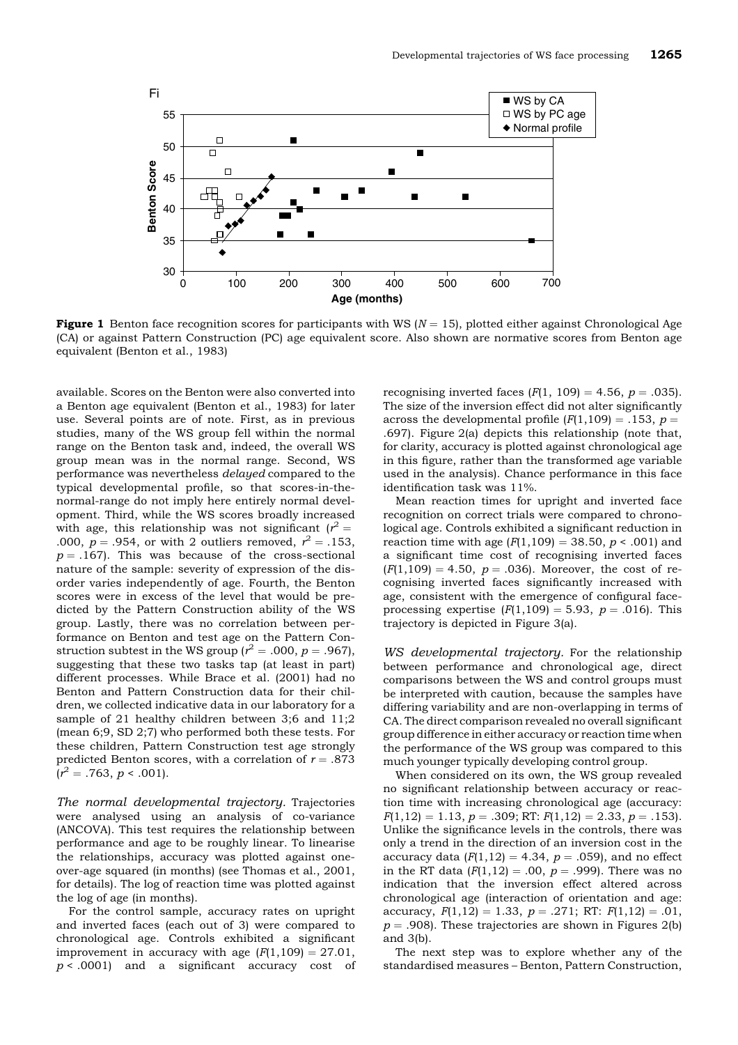

**Figure 1** Benton face recognition scores for participants with WS  $(N = 15)$ , plotted either against Chronological Age (CA) or against Pattern Construction (PC) age equivalent score. Also shown are normative scores from Benton age equivalent (Benton et al., 1983)

available. Scores on the Benton were also converted into a Benton age equivalent (Benton et al., 1983) for later use. Several points are of note. First, as in previous studies, many of the WS group fell within the normal range on the Benton task and, indeed, the overall WS group mean was in the normal range. Second, WS performance was nevertheless delayed compared to the typical developmental profile, so that scores-in-thenormal-range do not imply here entirely normal development. Third, while the WS scores broadly increased with age, this relationship was not significant ( $r^2 =$ .000,  $p = .954$ , or with 2 outliers removed,  $r^2 = .153$ ,  $p = .167$ ). This was because of the cross-sectional nature of the sample: severity of expression of the disorder varies independently of age. Fourth, the Benton scores were in excess of the level that would be predicted by the Pattern Construction ability of the WS group. Lastly, there was no correlation between performance on Benton and test age on the Pattern Construction subtest in the WS group ( $r^2 = .000$ ,  $p = .967$ ), suggesting that these two tasks tap (at least in part) different processes. While Brace et al. (2001) had no Benton and Pattern Construction data for their children, we collected indicative data in our laboratory for a sample of 21 healthy children between 3;6 and 11;2 (mean 6;9, SD 2;7) who performed both these tests. For these children, Pattern Construction test age strongly predicted Benton scores, with a correlation of  $r = .873$  $(r^2 = .763, p < .001).$ 

The normal developmental trajectory. Trajectories were analysed using an analysis of co-variance (ANCOVA). This test requires the relationship between performance and age to be roughly linear. To linearise the relationships, accuracy was plotted against oneover-age squared (in months) (see Thomas et al., 2001, for details). The log of reaction time was plotted against the log of age (in months).

For the control sample, accuracy rates on upright and inverted faces (each out of 3) were compared to chronological age. Controls exhibited a significant improvement in accuracy with age  $(F(1,109) = 27.01,$  $p < .0001$  and a significant accuracy cost of recognising inverted faces  $(F(1, 109) = 4.56, p = .035)$ . The size of the inversion effect did not alter significantly across the developmental profile  $(F(1,109) = .153, p =$ .697). Figure 2(a) depicts this relationship (note that, for clarity, accuracy is plotted against chronological age in this figure, rather than the transformed age variable used in the analysis). Chance performance in this face identification task was 11%.

Mean reaction times for upright and inverted face recognition on correct trials were compared to chronological age. Controls exhibited a significant reduction in reaction time with age  $(F(1,109) = 38.50, p < .001)$  and a significant time cost of recognising inverted faces  $(F(1,109) = 4.50, p = .036)$ . Moreover, the cost of recognising inverted faces significantly increased with age, consistent with the emergence of configural faceprocessing expertise  $(F(1,109) = 5.93, p = .016)$ . This trajectory is depicted in Figure 3(a).

WS developmental trajectory. For the relationship between performance and chronological age, direct comparisons between the WS and control groups must be interpreted with caution, because the samples have differing variability and are non-overlapping in terms of CA. The direct comparison revealed no overall significant group difference in either accuracy or reaction time when the performance of the WS group was compared to this much younger typically developing control group.

When considered on its own, the WS group revealed no significant relationship between accuracy or reaction time with increasing chronological age (accuracy:  $F(1,12) = 1.13, p = .309; RT: F(1,12) = 2.33, p = .153).$ Unlike the significance levels in the controls, there was only a trend in the direction of an inversion cost in the accuracy data  $(F(1, 12) = 4.34, p = .059)$ , and no effect in the RT data  $(F(1,12) = .00, p = .999)$ . There was no indication that the inversion effect altered across chronological age (interaction of orientation and age: accuracy,  $F(1,12) = 1.33$ ,  $p = .271$ ; RT:  $F(1,12) = .01$ ,  $p = .908$ ). These trajectories are shown in Figures 2(b) and 3(b).

The next step was to explore whether any of the standardised measures – Benton, Pattern Construction,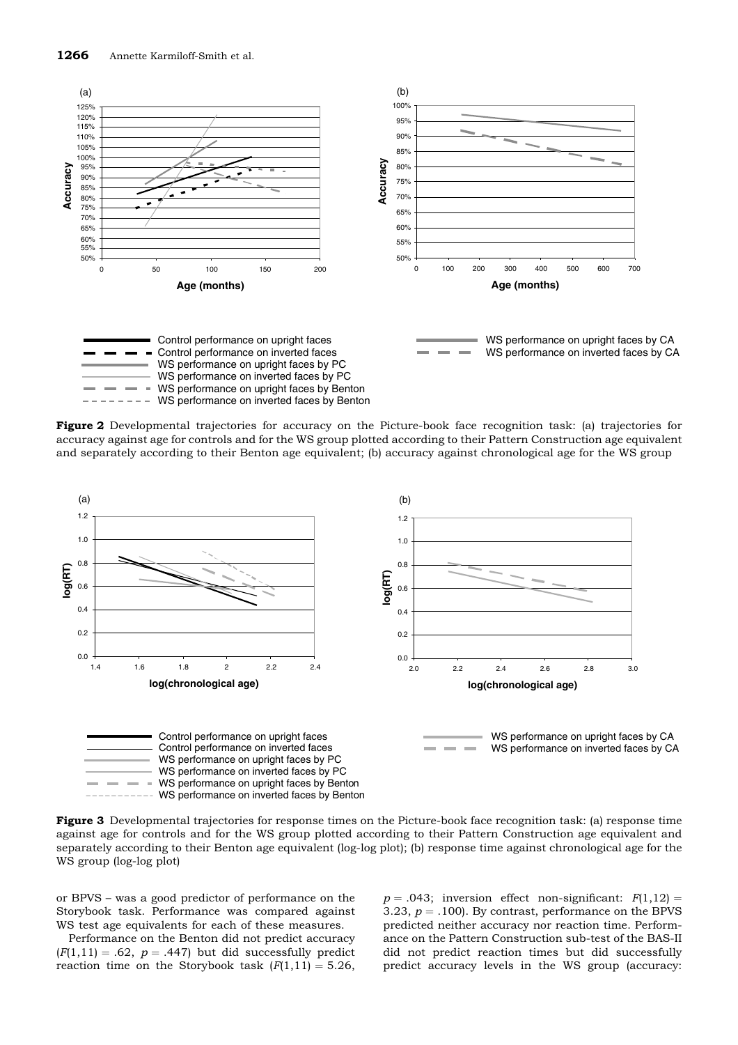

Figure 2 Developmental trajectories for accuracy on the Picture-book face recognition task: (a) trajectories for accuracy against age for controls and for the WS group plotted according to their Pattern Construction age equivalent and separately according to their Benton age equivalent; (b) accuracy against chronological age for the WS group



Figure 3 Developmental trajectories for response times on the Picture-book face recognition task: (a) response time against age for controls and for the WS group plotted according to their Pattern Construction age equivalent and separately according to their Benton age equivalent (log-log plot); (b) response time against chronological age for the WS group (log-log plot)

or BPVS – was a good predictor of performance on the Storybook task. Performance was compared against WS test age equivalents for each of these measures.

Performance on the Benton did not predict accuracy  $(F(1,11) = .62, p = .447)$  but did successfully predict reaction time on the Storybook task  $(F(1,11) = 5.26,$   $p = .043$ ; inversion effect non-significant:  $F(1,12) =$ 3.23,  $p = .100$ ). By contrast, performance on the BPVS predicted neither accuracy nor reaction time. Performance on the Pattern Construction sub-test of the BAS-II did not predict reaction times but did successfully predict accuracy levels in the WS group (accuracy: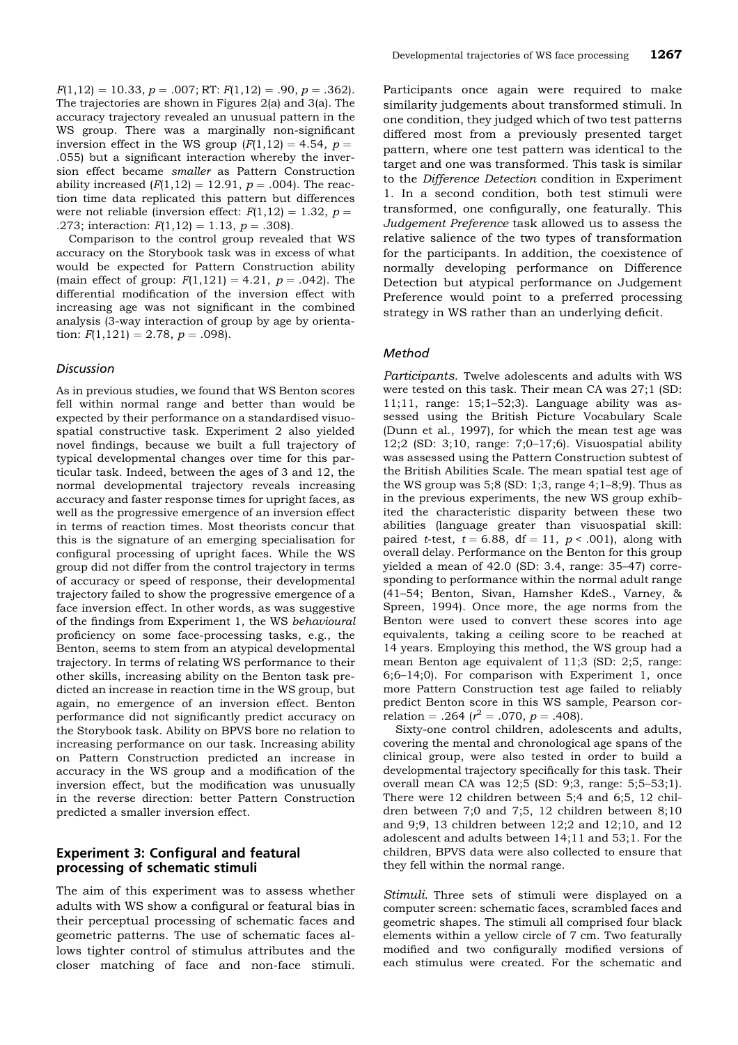$F(1,12) = 10.33, p = .007; RT: F(1,12) = .90, p = .362$ . The trajectories are shown in Figures 2(a) and 3(a). The accuracy trajectory revealed an unusual pattern in the WS group. There was a marginally non-significant inversion effect in the WS group  $(F(1,12) = 4.54, p =$ .055) but a significant interaction whereby the inversion effect became smaller as Pattern Construction ability increased  $(F(1,12) = 12.91, p = .004)$ . The reaction time data replicated this pattern but differences were not reliable (inversion effect:  $F(1,12) = 1.32$ ,  $p =$ .273; interaction:  $F(1,12) = 1.13$ ,  $p = .308$ ).

Comparison to the control group revealed that WS accuracy on the Storybook task was in excess of what would be expected for Pattern Construction ability (main effect of group:  $F(1,121) = 4.21$ ,  $p = .042$ ). The differential modification of the inversion effect with increasing age was not significant in the combined analysis (3-way interaction of group by age by orientation:  $F(1,121) = 2.78$ ,  $p = .098$ ).

#### **Discussion**

As in previous studies, we found that WS Benton scores fell within normal range and better than would be expected by their performance on a standardised visuospatial constructive task. Experiment 2 also yielded novel findings, because we built a full trajectory of typical developmental changes over time for this particular task. Indeed, between the ages of 3 and 12, the normal developmental trajectory reveals increasing accuracy and faster response times for upright faces, as well as the progressive emergence of an inversion effect in terms of reaction times. Most theorists concur that this is the signature of an emerging specialisation for configural processing of upright faces. While the WS group did not differ from the control trajectory in terms of accuracy or speed of response, their developmental trajectory failed to show the progressive emergence of a face inversion effect. In other words, as was suggestive of the findings from Experiment 1, the WS behavioural proficiency on some face-processing tasks, e.g., the Benton, seems to stem from an atypical developmental trajectory. In terms of relating WS performance to their other skills, increasing ability on the Benton task predicted an increase in reaction time in the WS group, but again, no emergence of an inversion effect. Benton performance did not significantly predict accuracy on the Storybook task. Ability on BPVS bore no relation to increasing performance on our task. Increasing ability on Pattern Construction predicted an increase in accuracy in the WS group and a modification of the inversion effect, but the modification was unusually in the reverse direction: better Pattern Construction predicted a smaller inversion effect.

## Experiment 3: Configural and featural processing of schematic stimuli

The aim of this experiment was to assess whether adults with WS show a configural or featural bias in their perceptual processing of schematic faces and geometric patterns. The use of schematic faces allows tighter control of stimulus attributes and the closer matching of face and non-face stimuli. Participants once again were required to make similarity judgements about transformed stimuli. In one condition, they judged which of two test patterns differed most from a previously presented target pattern, where one test pattern was identical to the target and one was transformed. This task is similar to the Difference Detection condition in Experiment 1. In a second condition, both test stimuli were transformed, one configurally, one featurally. This Judgement Preference task allowed us to assess the relative salience of the two types of transformation for the participants. In addition, the coexistence of normally developing performance on Difference Detection but atypical performance on Judgement Preference would point to a preferred processing strategy in WS rather than an underlying deficit.

#### Method

Participants. Twelve adolescents and adults with WS were tested on this task. Their mean CA was 27;1 (SD: 11;11, range: 15;1–52;3). Language ability was assessed using the British Picture Vocabulary Scale (Dunn et al., 1997), for which the mean test age was 12;2 (SD: 3;10, range: 7;0–17;6). Visuospatial ability was assessed using the Pattern Construction subtest of the British Abilities Scale. The mean spatial test age of the WS group was  $5;8$  (SD: 1;3, range  $4;1-8;9$ ). Thus as in the previous experiments, the new WS group exhibited the characteristic disparity between these two abilities (language greater than visuospatial skill: paired t-test,  $t = 6.88$ ,  $df = 11$ ,  $p < .001$ ), along with overall delay. Performance on the Benton for this group yielded a mean of 42.0 (SD: 3.4, range: 35–47) corresponding to performance within the normal adult range (41–54; Benton, Sivan, Hamsher KdeS., Varney, & Spreen, 1994). Once more, the age norms from the Benton were used to convert these scores into age equivalents, taking a ceiling score to be reached at 14 years. Employing this method, the WS group had a mean Benton age equivalent of 11;3 (SD: 2;5, range: 6;6–14;0). For comparison with Experiment 1, once more Pattern Construction test age failed to reliably predict Benton score in this WS sample, Pearson correlation = .264 ( $r^2$  = .070,  $p$  = .408).

Sixty-one control children, adolescents and adults, covering the mental and chronological age spans of the clinical group, were also tested in order to build a developmental trajectory specifically for this task. Their overall mean CA was 12;5 (SD: 9;3, range: 5;5–53;1). There were 12 children between 5;4 and 6;5, 12 children between 7;0 and 7;5, 12 children between 8;10 and 9;9, 13 children between 12;2 and 12;10, and 12 adolescent and adults between 14;11 and 53;1. For the children, BPVS data were also collected to ensure that they fell within the normal range.

Stimuli. Three sets of stimuli were displayed on a computer screen: schematic faces, scrambled faces and geometric shapes. The stimuli all comprised four black elements within a yellow circle of 7 cm. Two featurally modified and two configurally modified versions of each stimulus were created. For the schematic and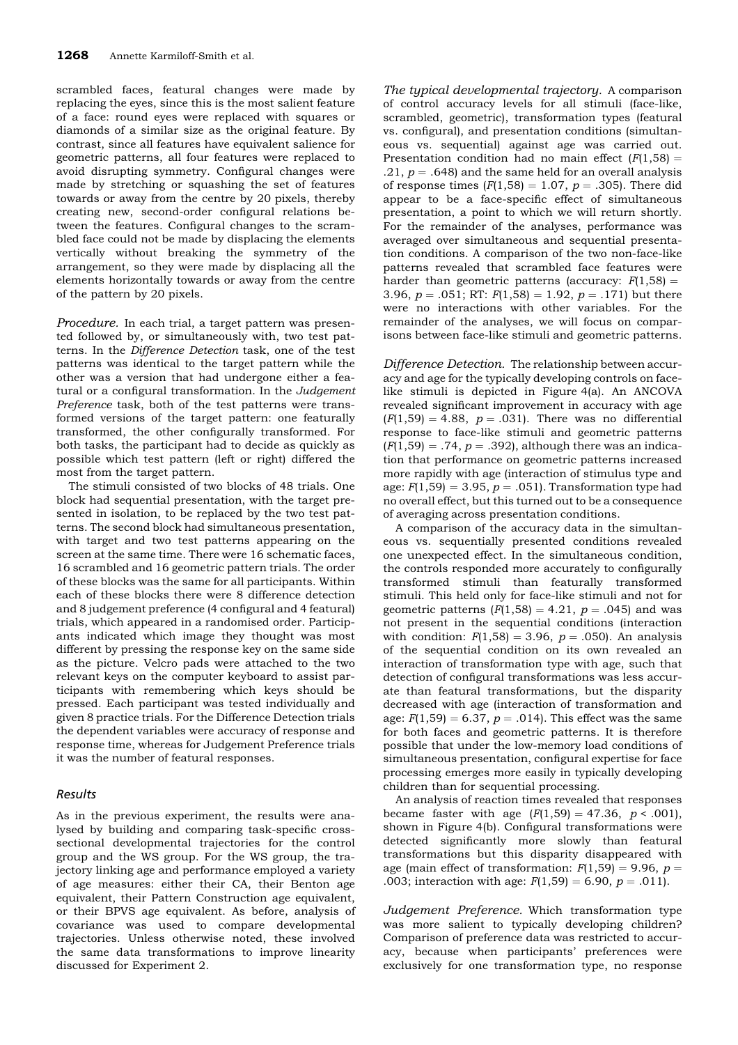scrambled faces, featural changes were made by replacing the eyes, since this is the most salient feature of a face: round eyes were replaced with squares or diamonds of a similar size as the original feature. By contrast, since all features have equivalent salience for geometric patterns, all four features were replaced to avoid disrupting symmetry. Configural changes were made by stretching or squashing the set of features towards or away from the centre by 20 pixels, thereby creating new, second-order configural relations between the features. Configural changes to the scrambled face could not be made by displacing the elements vertically without breaking the symmetry of the arrangement, so they were made by displacing all the elements horizontally towards or away from the centre of the pattern by 20 pixels.

Procedure. In each trial, a target pattern was presented followed by, or simultaneously with, two test patterns. In the Difference Detection task, one of the test patterns was identical to the target pattern while the other was a version that had undergone either a featural or a configural transformation. In the Judgement Preference task, both of the test patterns were transformed versions of the target pattern: one featurally transformed, the other configurally transformed. For both tasks, the participant had to decide as quickly as possible which test pattern (left or right) differed the most from the target pattern.

The stimuli consisted of two blocks of 48 trials. One block had sequential presentation, with the target presented in isolation, to be replaced by the two test patterns. The second block had simultaneous presentation, with target and two test patterns appearing on the screen at the same time. There were 16 schematic faces, 16 scrambled and 16 geometric pattern trials. The order of these blocks was the same for all participants. Within each of these blocks there were 8 difference detection and 8 judgement preference (4 configural and 4 featural) trials, which appeared in a randomised order. Participants indicated which image they thought was most different by pressing the response key on the same side as the picture. Velcro pads were attached to the two relevant keys on the computer keyboard to assist participants with remembering which keys should be pressed. Each participant was tested individually and given 8 practice trials. For the Difference Detection trials the dependent variables were accuracy of response and response time, whereas for Judgement Preference trials it was the number of featural responses.

#### Results

As in the previous experiment, the results were analysed by building and comparing task-specific crosssectional developmental trajectories for the control group and the WS group. For the WS group, the trajectory linking age and performance employed a variety of age measures: either their CA, their Benton age equivalent, their Pattern Construction age equivalent, or their BPVS age equivalent. As before, analysis of covariance was used to compare developmental trajectories. Unless otherwise noted, these involved the same data transformations to improve linearity discussed for Experiment 2.

The typical developmental trajectory. A comparison of control accuracy levels for all stimuli (face-like, scrambled, geometric), transformation types (featural vs. configural), and presentation conditions (simultaneous vs. sequential) against age was carried out. Presentation condition had no main effect  $(F(1,58)) =$ .21,  $p = .648$ ) and the same held for an overall analysis of response times  $(F(1,58) = 1.07, p = .305)$ . There did appear to be a face-specific effect of simultaneous presentation, a point to which we will return shortly. For the remainder of the analyses, performance was averaged over simultaneous and sequential presentation conditions. A comparison of the two non-face-like patterns revealed that scrambled face features were harder than geometric patterns (accuracy:  $F(1,58) =$ 3.96,  $p = .051$ ; RT:  $F(1,58) = 1.92$ ,  $p = .171$ ) but there were no interactions with other variables. For the remainder of the analyses, we will focus on comparisons between face-like stimuli and geometric patterns.

Difference Detection. The relationship between accuracy and age for the typically developing controls on facelike stimuli is depicted in Figure 4(a). An ANCOVA revealed significant improvement in accuracy with age  $(F(1,59) = 4.88, p = .031)$ . There was no differential response to face-like stimuli and geometric patterns  $(F(1,59) = .74, p = .392)$ , although there was an indication that performance on geometric patterns increased more rapidly with age (interaction of stimulus type and age:  $F(1,59) = 3.95$ ,  $p = .051$ ). Transformation type had no overall effect, but this turned out to be a consequence of averaging across presentation conditions.

A comparison of the accuracy data in the simultaneous vs. sequentially presented conditions revealed one unexpected effect. In the simultaneous condition, the controls responded more accurately to configurally transformed stimuli than featurally transformed stimuli. This held only for face-like stimuli and not for geometric patterns  $(F(1,58) = 4.21, p = .045)$  and was not present in the sequential conditions (interaction with condition:  $F(1,58) = 3.96$ ,  $p = .050$ . An analysis of the sequential condition on its own revealed an interaction of transformation type with age, such that detection of configural transformations was less accurate than featural transformations, but the disparity decreased with age (interaction of transformation and age:  $F(1,59) = 6.37, p = .014$ . This effect was the same for both faces and geometric patterns. It is therefore possible that under the low-memory load conditions of simultaneous presentation, configural expertise for face processing emerges more easily in typically developing children than for sequential processing.

An analysis of reaction times revealed that responses became faster with age  $(F(1,59) = 47.36, p < .001)$ , shown in Figure 4(b). Configural transformations were detected significantly more slowly than featural transformations but this disparity disappeared with age (main effect of transformation:  $F(1,59) = 9.96$ ,  $p =$ .003; interaction with age:  $F(1,59) = 6.90, p = .011$ .

Judgement Preference. Which transformation type was more salient to typically developing children? Comparison of preference data was restricted to accuracy, because when participants' preferences were exclusively for one transformation type, no response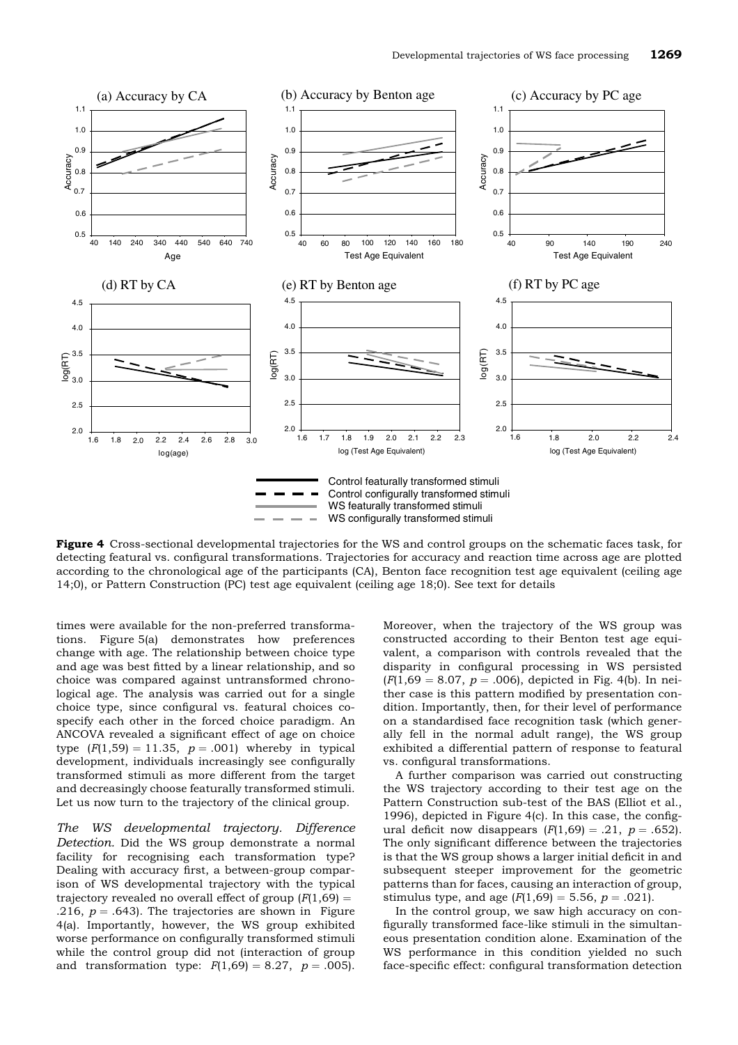

Figure 4 Cross-sectional developmental trajectories for the WS and control groups on the schematic faces task, for detecting featural vs. configural transformations. Trajectories for accuracy and reaction time across age are plotted according to the chronological age of the participants (CA), Benton face recognition test age equivalent (ceiling age 14;0), or Pattern Construction (PC) test age equivalent (ceiling age 18;0). See text for details

times were available for the non-preferred transformations. Figure 5(a) demonstrates how preferences change with age. The relationship between choice type and age was best fitted by a linear relationship, and so choice was compared against untransformed chronological age. The analysis was carried out for a single choice type, since configural vs. featural choices cospecify each other in the forced choice paradigm. An ANCOVA revealed a significant effect of age on choice type  $(F(1,59) = 11.35, p = .001)$  whereby in typical development, individuals increasingly see configurally transformed stimuli as more different from the target and decreasingly choose featurally transformed stimuli. Let us now turn to the trajectory of the clinical group.

The WS developmental trajectory. Difference Detection. Did the WS group demonstrate a normal facility for recognising each transformation type? Dealing with accuracy first, a between-group comparison of WS developmental trajectory with the typical trajectory revealed no overall effect of group  $(F(1,69) =$ .216,  $p = .643$ . The trajectories are shown in Figure 4(a). Importantly, however, the WS group exhibited worse performance on configurally transformed stimuli while the control group did not (interaction of group and transformation type:  $F(1,69) = 8.27$ ,  $p = .005$ ). Moreover, when the trajectory of the WS group was constructed according to their Benton test age equivalent, a comparison with controls revealed that the disparity in configural processing in WS persisted  $(F(1,69 = 8.07, p = .006)$ , depicted in Fig. 4(b). In neither case is this pattern modified by presentation condition. Importantly, then, for their level of performance on a standardised face recognition task (which generally fell in the normal adult range), the WS group exhibited a differential pattern of response to featural vs. configural transformations.

A further comparison was carried out constructing the WS trajectory according to their test age on the Pattern Construction sub-test of the BAS (Elliot et al., 1996), depicted in Figure 4(c). In this case, the configural deficit now disappears  $(F(1,69) = .21, p = .652)$ . The only significant difference between the trajectories is that the WS group shows a larger initial deficit in and subsequent steeper improvement for the geometric patterns than for faces, causing an interaction of group, stimulus type, and age  $(F(1,69) = 5.56, p = .021)$ .

In the control group, we saw high accuracy on configurally transformed face-like stimuli in the simultaneous presentation condition alone. Examination of the WS performance in this condition yielded no such face-specific effect: configural transformation detection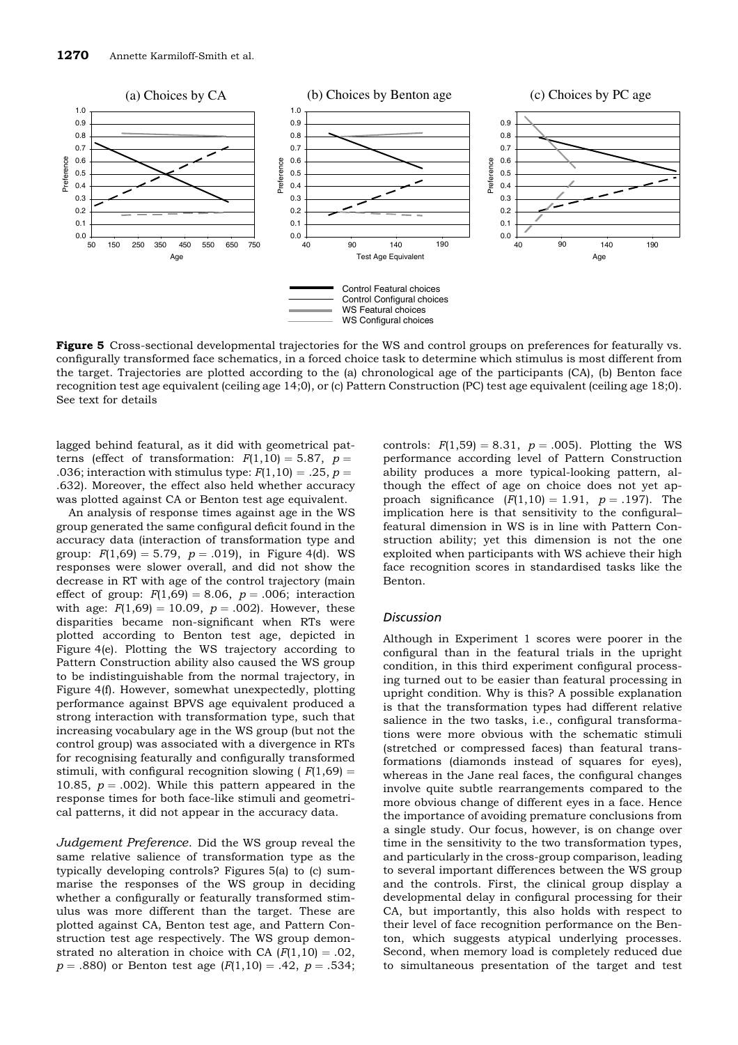

Figure 5 Cross-sectional developmental trajectories for the WS and control groups on preferences for featurally vs. configurally transformed face schematics, in a forced choice task to determine which stimulus is most different from the target. Trajectories are plotted according to the (a) chronological age of the participants (CA), (b) Benton face recognition test age equivalent (ceiling age 14;0), or (c) Pattern Construction (PC) test age equivalent (ceiling age 18;0). See text for details

lagged behind featural, as it did with geometrical patterns (effect of transformation:  $F(1,10) = 5.87$ ,  $p =$ .036; interaction with stimulus type:  $F(1,10) = .25$ ,  $p =$ .632). Moreover, the effect also held whether accuracy was plotted against CA or Benton test age equivalent.

An analysis of response times against age in the WS group generated the same configural deficit found in the accuracy data (interaction of transformation type and group:  $F(1,69) = 5.79$ ,  $p = .019$ , in Figure 4(d). WS responses were slower overall, and did not show the decrease in RT with age of the control trajectory (main effect of group:  $F(1,69) = 8.06$ ,  $p = .006$ ; interaction with age:  $F(1,69) = 10.09$ ,  $p = .002$ . However, these disparities became non-significant when RTs were plotted according to Benton test age, depicted in Figure 4(e). Plotting the WS trajectory according to Pattern Construction ability also caused the WS group to be indistinguishable from the normal trajectory, in Figure 4(f). However, somewhat unexpectedly, plotting performance against BPVS age equivalent produced a strong interaction with transformation type, such that increasing vocabulary age in the WS group (but not the control group) was associated with a divergence in RTs for recognising featurally and configurally transformed stimuli, with configural recognition slowing ( $F(1,69) =$ 10.85,  $p = .002$ ). While this pattern appeared in the response times for both face-like stimuli and geometrical patterns, it did not appear in the accuracy data.

Judgement Preference. Did the WS group reveal the same relative salience of transformation type as the typically developing controls? Figures 5(a) to (c) summarise the responses of the WS group in deciding whether a configurally or featurally transformed stimulus was more different than the target. These are plotted against CA, Benton test age, and Pattern Construction test age respectively. The WS group demonstrated no alteration in choice with CA  $(F(1,10) = .02)$ ,  $p = .880$ ) or Benton test age  $(F(1,10) = .42, p = .534;$  controls:  $F(1,59) = 8.31$ ,  $p = .005$ . Plotting the WS performance according level of Pattern Construction ability produces a more typical-looking pattern, although the effect of age on choice does not yet approach significance  $(F(1,10) = 1.91, p = .197)$ . The implication here is that sensitivity to the configural– featural dimension in WS is in line with Pattern Construction ability; yet this dimension is not the one exploited when participants with WS achieve their high face recognition scores in standardised tasks like the Benton.

#### Discussion

Although in Experiment 1 scores were poorer in the configural than in the featural trials in the upright condition, in this third experiment configural processing turned out to be easier than featural processing in upright condition. Why is this? A possible explanation is that the transformation types had different relative salience in the two tasks, i.e., configural transformations were more obvious with the schematic stimuli (stretched or compressed faces) than featural transformations (diamonds instead of squares for eyes), whereas in the Jane real faces, the configural changes involve quite subtle rearrangements compared to the more obvious change of different eyes in a face. Hence the importance of avoiding premature conclusions from a single study. Our focus, however, is on change over time in the sensitivity to the two transformation types, and particularly in the cross-group comparison, leading to several important differences between the WS group and the controls. First, the clinical group display a developmental delay in configural processing for their CA, but importantly, this also holds with respect to their level of face recognition performance on the Benton, which suggests atypical underlying processes. Second, when memory load is completely reduced due to simultaneous presentation of the target and test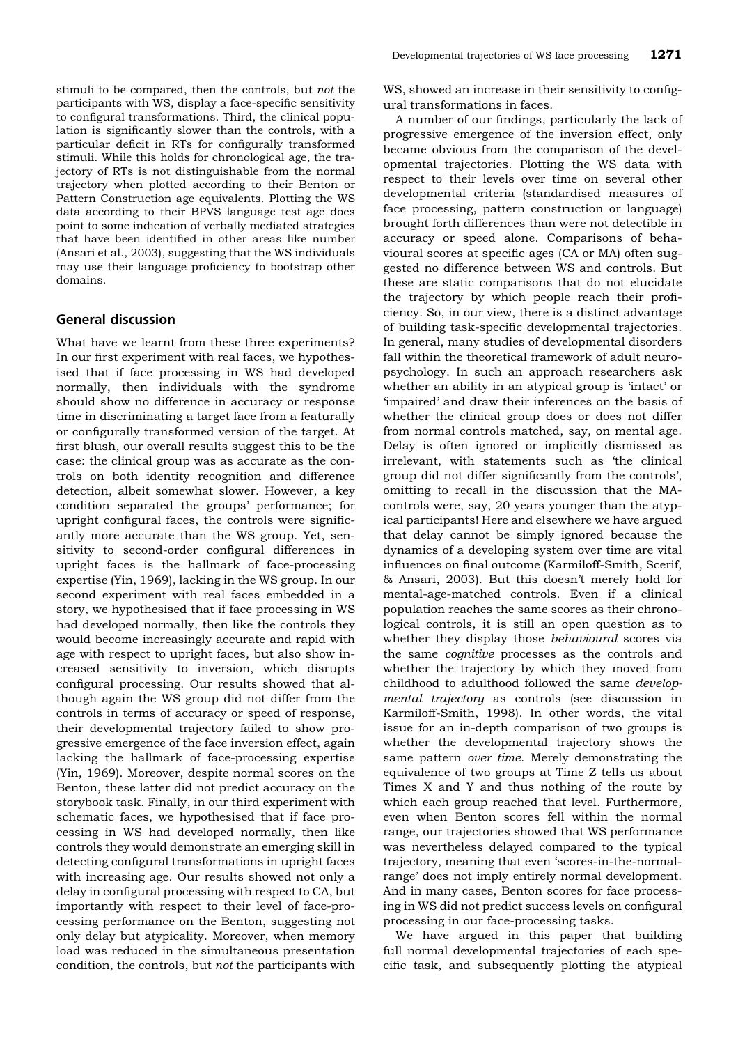stimuli to be compared, then the controls, but not the participants with WS, display a face-specific sensitivity to configural transformations. Third, the clinical population is significantly slower than the controls, with a particular deficit in RTs for configurally transformed stimuli. While this holds for chronological age, the trajectory of RTs is not distinguishable from the normal trajectory when plotted according to their Benton or Pattern Construction age equivalents. Plotting the WS data according to their BPVS language test age does point to some indication of verbally mediated strategies that have been identified in other areas like number (Ansari et al., 2003), suggesting that the WS individuals may use their language proficiency to bootstrap other domains.

## General discussion

What have we learnt from these three experiments? In our first experiment with real faces, we hypothesised that if face processing in WS had developed normally, then individuals with the syndrome should show no difference in accuracy or response time in discriminating a target face from a featurally or configurally transformed version of the target. At first blush, our overall results suggest this to be the case: the clinical group was as accurate as the controls on both identity recognition and difference detection, albeit somewhat slower. However, a key condition separated the groups' performance; for upright configural faces, the controls were significantly more accurate than the WS group. Yet, sensitivity to second-order configural differences in upright faces is the hallmark of face-processing expertise (Yin, 1969), lacking in the WS group. In our second experiment with real faces embedded in a story, we hypothesised that if face processing in WS had developed normally, then like the controls they would become increasingly accurate and rapid with age with respect to upright faces, but also show increased sensitivity to inversion, which disrupts configural processing. Our results showed that although again the WS group did not differ from the controls in terms of accuracy or speed of response, their developmental trajectory failed to show progressive emergence of the face inversion effect, again lacking the hallmark of face-processing expertise (Yin, 1969). Moreover, despite normal scores on the Benton, these latter did not predict accuracy on the storybook task. Finally, in our third experiment with schematic faces, we hypothesised that if face processing in WS had developed normally, then like controls they would demonstrate an emerging skill in detecting configural transformations in upright faces with increasing age. Our results showed not only a delay in configural processing with respect to CA, but importantly with respect to their level of face-processing performance on the Benton, suggesting not only delay but atypicality. Moreover, when memory load was reduced in the simultaneous presentation condition, the controls, but not the participants with

WS, showed an increase in their sensitivity to configural transformations in faces.

A number of our findings, particularly the lack of progressive emergence of the inversion effect, only became obvious from the comparison of the developmental trajectories. Plotting the WS data with respect to their levels over time on several other developmental criteria (standardised measures of face processing, pattern construction or language) brought forth differences than were not detectible in accuracy or speed alone. Comparisons of behavioural scores at specific ages (CA or MA) often suggested no difference between WS and controls. But these are static comparisons that do not elucidate the trajectory by which people reach their proficiency. So, in our view, there is a distinct advantage of building task-specific developmental trajectories. In general, many studies of developmental disorders fall within the theoretical framework of adult neuropsychology. In such an approach researchers ask whether an ability in an atypical group is 'intact' or 'impaired' and draw their inferences on the basis of whether the clinical group does or does not differ from normal controls matched, say, on mental age. Delay is often ignored or implicitly dismissed as irrelevant, with statements such as 'the clinical group did not differ significantly from the controls', omitting to recall in the discussion that the MAcontrols were, say, 20 years younger than the atypical participants! Here and elsewhere we have argued that delay cannot be simply ignored because the dynamics of a developing system over time are vital influences on final outcome (Karmiloff-Smith, Scerif, & Ansari, 2003). But this doesn't merely hold for mental-age-matched controls. Even if a clinical population reaches the same scores as their chronological controls, it is still an open question as to whether they display those *behavioural* scores via the same cognitive processes as the controls and whether the trajectory by which they moved from childhood to adulthood followed the same developmental trajectory as controls (see discussion in Karmiloff-Smith, 1998). In other words, the vital issue for an in-depth comparison of two groups is whether the developmental trajectory shows the same pattern over time. Merely demonstrating the equivalence of two groups at Time Z tells us about Times X and Y and thus nothing of the route by which each group reached that level. Furthermore, even when Benton scores fell within the normal range, our trajectories showed that WS performance was nevertheless delayed compared to the typical trajectory, meaning that even 'scores-in-the-normalrange' does not imply entirely normal development. And in many cases, Benton scores for face processing in WS did not predict success levels on configural processing in our face-processing tasks.

We have argued in this paper that building full normal developmental trajectories of each specific task, and subsequently plotting the atypical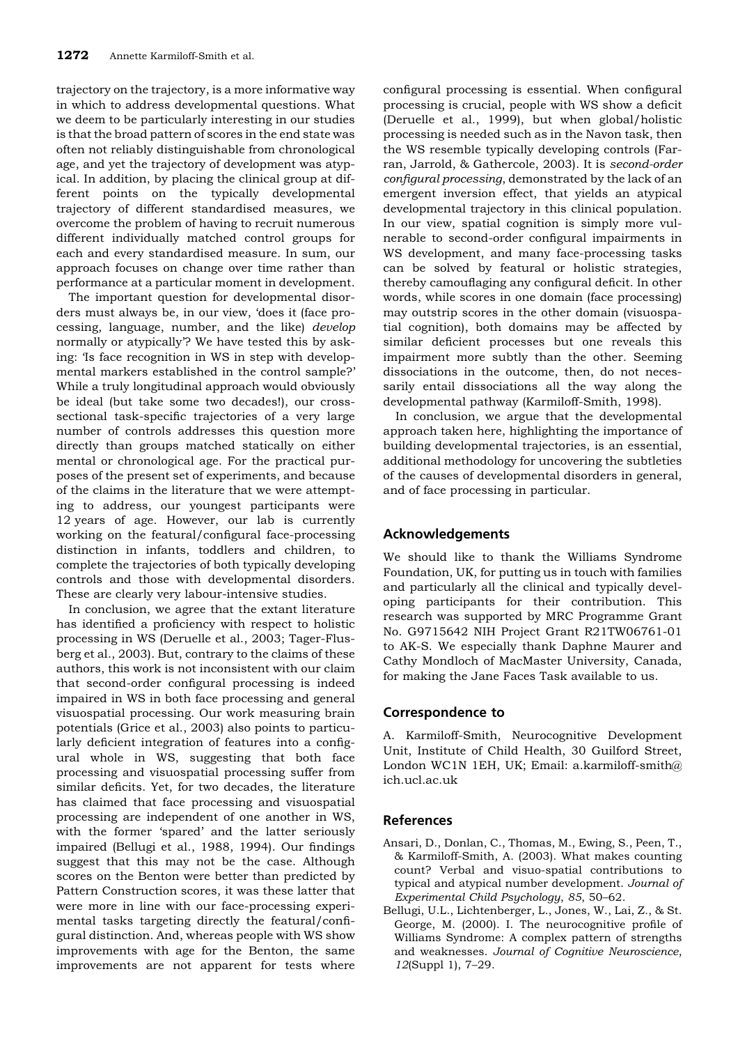trajectory on the trajectory, is a more informative way in which to address developmental questions. What we deem to be particularly interesting in our studies is that the broad pattern of scores in the end state was often not reliably distinguishable from chronological age, and yet the trajectory of development was atypical. In addition, by placing the clinical group at different points on the typically developmental trajectory of different standardised measures, we overcome the problem of having to recruit numerous different individually matched control groups for each and every standardised measure. In sum, our approach focuses on change over time rather than performance at a particular moment in development.

The important question for developmental disorders must always be, in our view, 'does it (face processing, language, number, and the like) develop normally or atypically'? We have tested this by asking: 'Is face recognition in WS in step with developmental markers established in the control sample?' While a truly longitudinal approach would obviously be ideal (but take some two decades!), our crosssectional task-specific trajectories of a very large number of controls addresses this question more directly than groups matched statically on either mental or chronological age. For the practical purposes of the present set of experiments, and because of the claims in the literature that we were attempting to address, our youngest participants were 12 years of age. However, our lab is currently working on the featural/configural face-processing distinction in infants, toddlers and children, to complete the trajectories of both typically developing controls and those with developmental disorders. These are clearly very labour-intensive studies.

In conclusion, we agree that the extant literature has identified a proficiency with respect to holistic processing in WS (Deruelle et al., 2003; Tager-Flusberg et al., 2003). But, contrary to the claims of these authors, this work is not inconsistent with our claim that second-order configural processing is indeed impaired in WS in both face processing and general visuospatial processing. Our work measuring brain potentials (Grice et al., 2003) also points to particularly deficient integration of features into a configural whole in WS, suggesting that both face processing and visuospatial processing suffer from similar deficits. Yet, for two decades, the literature has claimed that face processing and visuospatial processing are independent of one another in WS, with the former 'spared' and the latter seriously impaired (Bellugi et al., 1988, 1994). Our findings suggest that this may not be the case. Although scores on the Benton were better than predicted by Pattern Construction scores, it was these latter that were more in line with our face-processing experimental tasks targeting directly the featural/configural distinction. And, whereas people with WS show improvements with age for the Benton, the same improvements are not apparent for tests where

configural processing is essential. When configural processing is crucial, people with WS show a deficit (Deruelle et al., 1999), but when global/holistic processing is needed such as in the Navon task, then the WS resemble typically developing controls (Farran, Jarrold, & Gathercole, 2003). It is second-order configural processing, demonstrated by the lack of an emergent inversion effect, that yields an atypical developmental trajectory in this clinical population. In our view, spatial cognition is simply more vulnerable to second-order configural impairments in WS development, and many face-processing tasks can be solved by featural or holistic strategies, thereby camouflaging any configural deficit. In other words, while scores in one domain (face processing) may outstrip scores in the other domain (visuospatial cognition), both domains may be affected by similar deficient processes but one reveals this impairment more subtly than the other. Seeming dissociations in the outcome, then, do not necessarily entail dissociations all the way along the developmental pathway (Karmiloff-Smith, 1998).

In conclusion, we argue that the developmental approach taken here, highlighting the importance of building developmental trajectories, is an essential, additional methodology for uncovering the subtleties of the causes of developmental disorders in general, and of face processing in particular.

## Acknowledgements

We should like to thank the Williams Syndrome Foundation, UK, for putting us in touch with families and particularly all the clinical and typically developing participants for their contribution. This research was supported by MRC Programme Grant No. G9715642 NIH Project Grant R21TW06761-01 to AK-S. We especially thank Daphne Maurer and Cathy Mondloch of MacMaster University, Canada, for making the Jane Faces Task available to us.

#### Correspondence to

A. Karmiloff-Smith, Neurocognitive Development Unit, Institute of Child Health, 30 Guilford Street, London WC1N 1EH, UK; Email: a.karmiloff-smith@ ich.ucl.ac.uk

#### References

- Ansari, D., Donlan, C., Thomas, M., Ewing, S., Peen, T., & Karmiloff-Smith, A. (2003). What makes counting count? Verbal and visuo-spatial contributions to typical and atypical number development. Journal of Experimental Child Psychology, 85, 50–62.
- Bellugi, U.L., Lichtenberger, L., Jones, W., Lai, Z., & St. George, M. (2000). I. The neurocognitive profile of Williams Syndrome: A complex pattern of strengths and weaknesses. Journal of Cognitive Neuroscience, 12(Suppl 1), 7–29.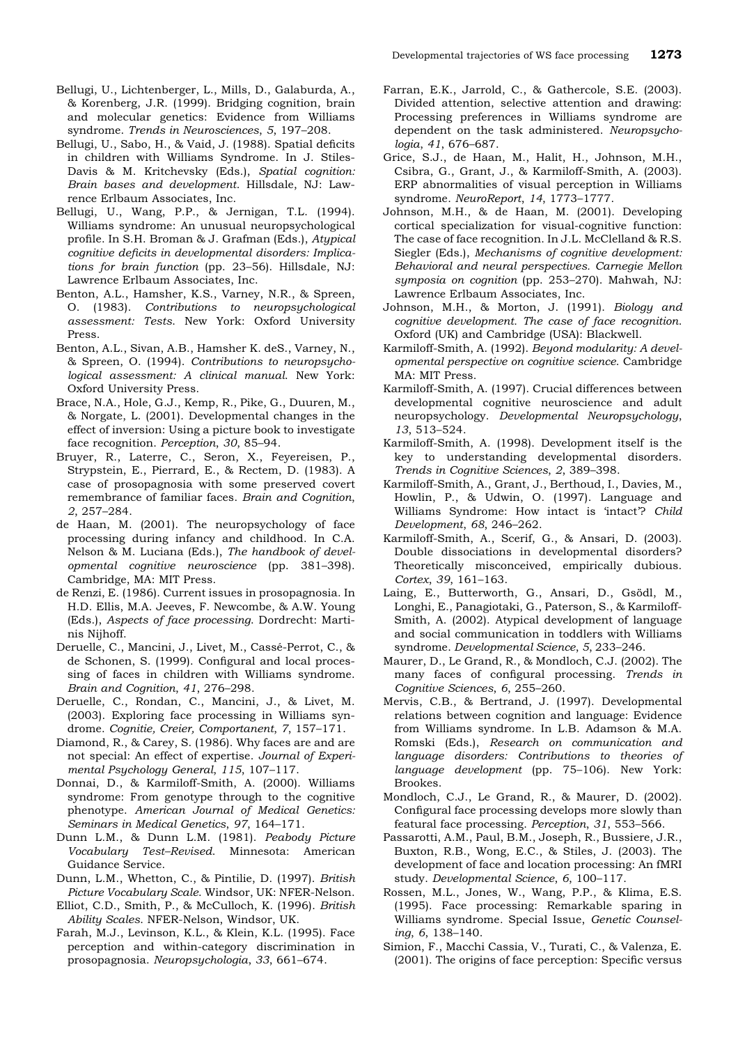- Bellugi, U., Lichtenberger, L., Mills, D., Galaburda, A., & Korenberg, J.R. (1999). Bridging cognition, brain and molecular genetics: Evidence from Williams syndrome. Trends in Neurosciences, 5, 197–208.
- Bellugi, U., Sabo, H., & Vaid, J. (1988). Spatial deficits in children with Williams Syndrome. In J. Stiles-Davis & M. Kritchevsky (Eds.), Spatial cognition: Brain bases and development. Hillsdale, NJ: Lawrence Erlbaum Associates, Inc.
- Bellugi, U., Wang, P.P., & Jernigan, T.L. (1994). Williams syndrome: An unusual neuropsychological profile. In S.H. Broman & J. Grafman (Eds.), Atypical cognitive deficits in developmental disorders: Implications for brain function (pp. 23–56). Hillsdale, NJ: Lawrence Erlbaum Associates, Inc.
- Benton, A.L., Hamsher, K.S., Varney, N.R., & Spreen, O. (1983). Contributions to neuropsychological assessment: Tests. New York: Oxford University Press.
- Benton, A.L., Sivan, A.B., Hamsher K. deS., Varney, N., & Spreen, O. (1994). Contributions to neuropsychological assessment: A clinical manual. New York: Oxford University Press.
- Brace, N.A., Hole, G.J., Kemp, R., Pike, G., Duuren, M., & Norgate, L. (2001). Developmental changes in the effect of inversion: Using a picture book to investigate face recognition. Perception, 30, 85–94.
- Bruyer, R., Laterre, C., Seron, X., Feyereisen, P., Strypstein, E., Pierrard, E., & Rectem, D. (1983). A case of prosopagnosia with some preserved covert remembrance of familiar faces. Brain and Cognition, 2, 257–284.
- de Haan, M. (2001). The neuropsychology of face processing during infancy and childhood. In C.A. Nelson & M. Luciana (Eds.), The handbook of developmental cognitive neuroscience (pp. 381–398). Cambridge, MA: MIT Press.
- de Renzi, E. (1986). Current issues in prosopagnosia. In H.D. Ellis, M.A. Jeeves, F. Newcombe, & A.W. Young (Eds.), Aspects of face processing. Dordrecht: Martinis Nijhoff.
- Deruelle, C., Mancini, J., Livet, M., Cassé-Perrot, C., & de Schonen, S. (1999). Configural and local processing of faces in children with Williams syndrome. Brain and Cognition, 41, 276–298.
- Deruelle, C., Rondan, C., Mancini, J., & Livet, M. (2003). Exploring face processing in Williams syndrome. Cognitie, Creier, Comportanent, 7, 157–171.
- Diamond, R., & Carey, S. (1986). Why faces are and are not special: An effect of expertise. Journal of Experimental Psychology General, 115, 107–117.
- Donnai, D., & Karmiloff-Smith, A. (2000). Williams syndrome: From genotype through to the cognitive phenotype. American Journal of Medical Genetics: Seminars in Medical Genetics, 97, 164–171.
- Dunn L.M., & Dunn L.M. (1981). Peabody Picture Vocabulary Test–Revised. Minnesota: American Guidance Service.
- Dunn, L.M., Whetton, C., & Pintilie, D. (1997). British Picture Vocabulary Scale. Windsor, UK: NFER-Nelson.
- Elliot, C.D., Smith, P., & McCulloch, K. (1996). British Ability Scales. NFER-Nelson, Windsor, UK.
- Farah, M.J., Levinson, K.L., & Klein, K.L. (1995). Face perception and within-category discrimination in prosopagnosia. Neuropsychologia, 33, 661–674.
- Farran, E.K., Jarrold, C., & Gathercole, S.E. (2003). Divided attention, selective attention and drawing: Processing preferences in Williams syndrome are dependent on the task administered. Neuropsychologia, 41, 676–687.
- Grice, S.J., de Haan, M., Halit, H., Johnson, M.H., Csibra, G., Grant, J., & Karmiloff-Smith, A. (2003). ERP abnormalities of visual perception in Williams syndrome. NeuroReport, 14, 1773–1777.
- Johnson, M.H., & de Haan, M. (2001). Developing cortical specialization for visual-cognitive function: The case of face recognition. In J.L. McClelland & R.S. Siegler (Eds.), Mechanisms of cognitive development: Behavioral and neural perspectives. Carnegie Mellon symposia on cognition (pp. 253–270). Mahwah, NJ: Lawrence Erlbaum Associates, Inc.
- Johnson, M.H., & Morton, J. (1991). Biology and cognitive development. The case of face recognition. Oxford (UK) and Cambridge (USA): Blackwell.
- Karmiloff-Smith, A. (1992). Beyond modularity: A developmental perspective on cognitive science. Cambridge MA: MIT Press.
- Karmiloff-Smith, A. (1997). Crucial differences between developmental cognitive neuroscience and adult neuropsychology. Developmental Neuropsychology, 13, 513–524.
- Karmiloff-Smith, A. (1998). Development itself is the key to understanding developmental disorders. Trends in Cognitive Sciences, 2, 389–398.
- Karmiloff-Smith, A., Grant, J., Berthoud, I., Davies, M., Howlin, P., & Udwin, O. (1997). Language and Williams Syndrome: How intact is 'intact'? Child Development, 68, 246–262.
- Karmiloff-Smith, A., Scerif, G., & Ansari, D. (2003). Double dissociations in developmental disorders? Theoretically misconceived, empirically dubious. Cortex, 39, 161–163.
- Laing, E., Butterworth, G., Ansari, D., Gsödl, M., Longhi, E., Panagiotaki, G., Paterson, S., & Karmiloff-Smith, A. (2002). Atypical development of language and social communication in toddlers with Williams syndrome. Developmental Science, 5, 233–246.
- Maurer, D., Le Grand, R., & Mondloch, C.J. (2002). The many faces of configural processing. Trends in Cognitive Sciences, 6, 255–260.
- Mervis, C.B., & Bertrand, J. (1997). Developmental relations between cognition and language: Evidence from Williams syndrome. In L.B. Adamson & M.A. Romski (Eds.), Research on communication and language disorders: Contributions to theories of language development (pp. 75–106). New York: Brookes.
- Mondloch, C.J., Le Grand, R., & Maurer, D. (2002). Configural face processing develops more slowly than featural face processing. Perception, 31, 553–566.
- Passarotti, A.M., Paul, B.M., Joseph, R., Bussiere, J.R., Buxton, R.B., Wong, E.C., & Stiles, J. (2003). The development of face and location processing: An fMRI study. Developmental Science, 6, 100–117.
- Rossen, M.L., Jones, W., Wang, P.P., & Klima, E.S. (1995). Face processing: Remarkable sparing in Williams syndrome. Special Issue, Genetic Counseling, 6, 138–140.
- Simion, F., Macchi Cassia, V., Turati, C., & Valenza, E. (2001). The origins of face perception: Specific versus